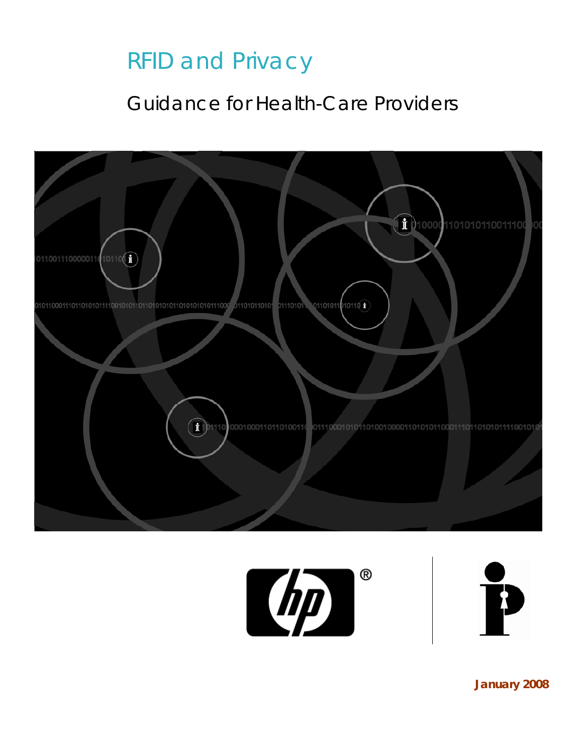# RFID and Privacy

## Guidance for Health-Care Providers







**January 2008**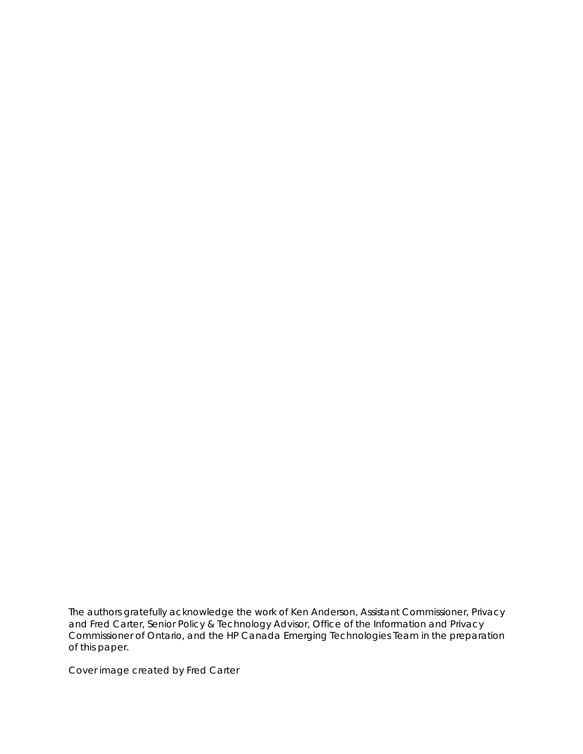*The authors gratefully acknowledge the work of Ken Anderson, Assistant Commissioner, Privacy and Fred Carter, Senior Policy & Technology Advisor, Office of the Information and Privacy Commissioner of Ontario, and the HP Canada Emerging Technologies Team in the preparation of this paper.*

*Cover image created by Fred Carter*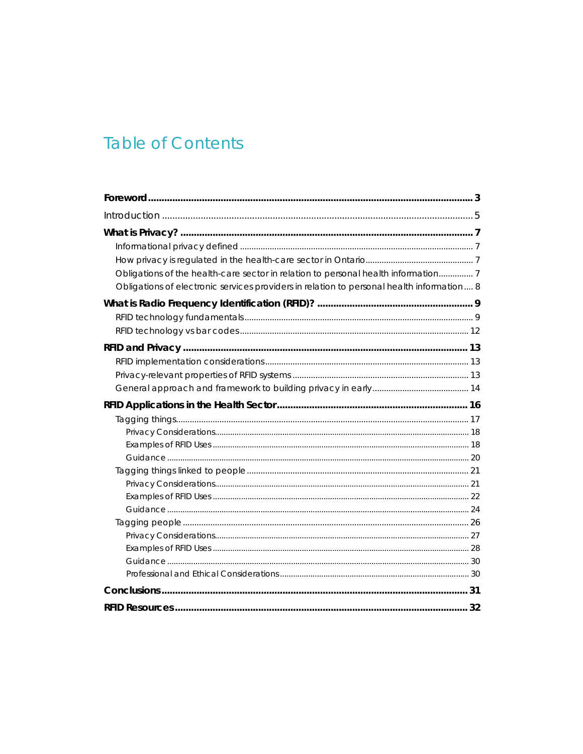## **Table of Contents**

| Obligations of the health-care sector in relation to personal health information 7        |  |
|-------------------------------------------------------------------------------------------|--|
| Obligations of electronic services providers in relation to personal health information 8 |  |
|                                                                                           |  |
|                                                                                           |  |
|                                                                                           |  |
|                                                                                           |  |
|                                                                                           |  |
|                                                                                           |  |
|                                                                                           |  |
|                                                                                           |  |
|                                                                                           |  |
|                                                                                           |  |
|                                                                                           |  |
|                                                                                           |  |
|                                                                                           |  |
|                                                                                           |  |
|                                                                                           |  |
|                                                                                           |  |
|                                                                                           |  |
|                                                                                           |  |
|                                                                                           |  |
|                                                                                           |  |
|                                                                                           |  |
|                                                                                           |  |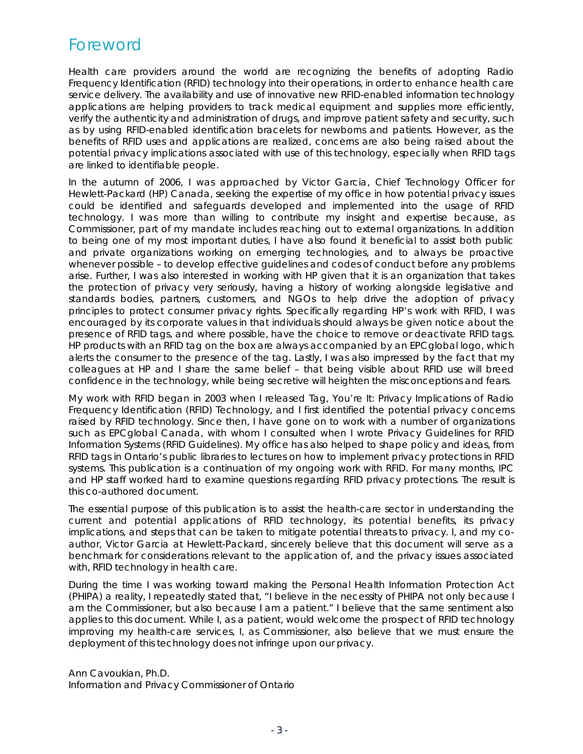### <span id="page-4-0"></span>Foreword

Health care providers around the world are recognizing the benefits of adopting Radio Frequency Identification (RFID) technology into their operations, in order to enhance health care service delivery. The availability and use of innovative new RFID-enabled information technology applications are helping providers to track medical equipment and supplies more efficiently, verify the authenticity and administration of drugs, and improve patient safety and security, such as by using RFID-enabled identification bracelets for newborns and patients. However, as the benefits of RFID uses and applications are realized, concerns are also being raised about the potential privacy implications associated with use of this technology, especially when RFID tags are linked to identifiable people.

In the autumn of 2006, I was approached by Victor Garcia, Chief Technology Officer for Hewlett-Packard (HP) Canada, seeking the expertise of my office in how potential privacy issues could be identified and safeguards developed and implemented into the usage of RFID technology. I was more than willing to contribute my insight and expertise because, as Commissioner, part of my mandate includes reaching out to external organizations. In addition to being one of my most important duties, I have also found it beneficial to assist both public and private organizations working on emerging technologies, and to always be proactive whenever possible – to develop effective guidelines and codes of conduct before any problems arise. Further, I was also interested in working with HP given that it is an organization that takes the protection of privacy very seriously, having a history of working alongside legislative and standards bodies, partners, customers, and NGOs to help drive the adoption of privacy principles to protect consumer privacy rights. Specifically regarding HP's work with RFID, I was encouraged by its corporate values in that individuals should always be given notice about the presence of RFID tags, and where possible, have the choice to remove or deactivate RFID tags. HP products with an RFID tag on the box are always accompanied by an EPCglobal logo, which alerts the consumer to the presence of the tag. Lastly, I was also impressed by the fact that my colleagues at HP and I share the same belief – that being visible about RFID use will breed confidence in the technology, while being secretive will heighten the misconceptions and fears.

My work with RFID began in 2003 when I released *Tag, You're It: Privacy Implications of Radio Frequency Identification (RFID) Technology*, and I first identified the potential privacy concerns raised by RFID technology. Since then, I have gone on to work with a number of organizations such as EPCglobal Canada, with whom I consulted when I wrote *Privacy Guidelines for RFID Information Systems (RFID Guidelines)*. My office has also helped to shape policy and ideas, from RFID tags in Ontario's public libraries to lectures on how to implement privacy protections in RFID systems. This publication is a continuation of my ongoing work with RFID. For many months, IPC and HP staff worked hard to examine questions regarding RFID privacy protections. The result is this co-authored document.

The essential purpose of this publication is to assist the health-care sector in understanding the current and potential applications of RFID technology, its potential benefits, its privacy implications, and steps that can be taken to mitigate potential threats to privacy. I, and my coauthor, Victor Garcia at Hewlett-Packard, sincerely believe that this document will serve as a benchmark for considerations relevant to the application of, and the privacy issues associated with, RFID technology in health care.

During the time I was working toward making the *Personal Health Information Protection Act (PHIPA)* a reality, I repeatedly stated that, "I believe in the necessity of *PHIPA* not only because I am the Commissioner, but also because I am a patient." I believe that the same sentiment also applies to this document. While I, as a patient, would welcome the prospect of RFID technology improving my health-care services, I, as Commissioner, also believe that we must ensure the deployment of this technology does not infringe upon our privacy.

Ann Cavoukian, Ph.D. Information and Privacy Commissioner of Ontario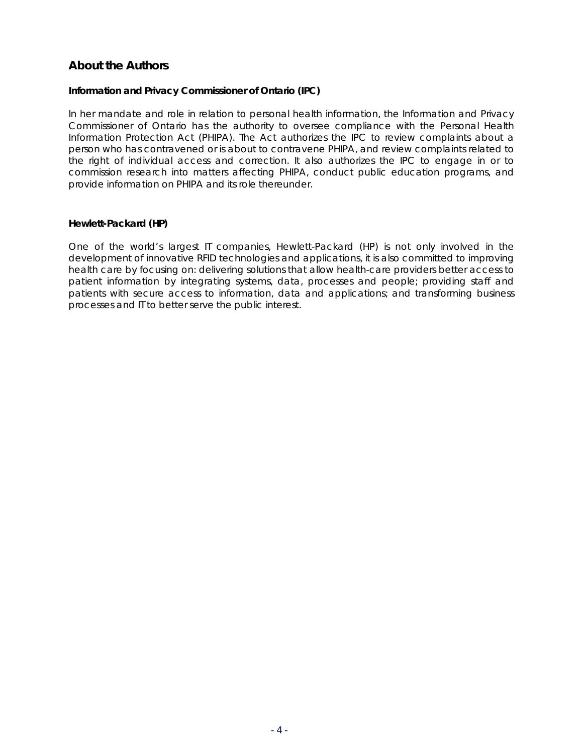### **About the Authors**

#### **Information and Privacy Commissioner of Ontario (IPC)**

In her mandate and role in relation to personal health information, the Information and Privacy Commissioner of Ontario has the authority to oversee compliance with the *Personal Health Information Protection Act (PHIPA)*. The *Act* authorizes the IPC to review complaints about a person who has contravened or is about to contravene *PHIPA*, and review complaints related to the right of individual access and correction. It also authorizes the IPC to engage in or to commission research into matters affecting *PHIPA*, conduct public education programs, and provide information on *PHIPA* and its role thereunder.

#### **Hewlett-Packard (HP)**

One of the world's largest IT companies, Hewlett-Packard (HP) is not only involved in the development of innovative RFID technologies and applications, it is also committed to improving health care by focusing on: delivering solutions that allow health-care providers better access to patient information by integrating systems, data, processes and people; providing staff and patients with secure access to information, data and applications; and transforming business processes and IT to better serve the public interest.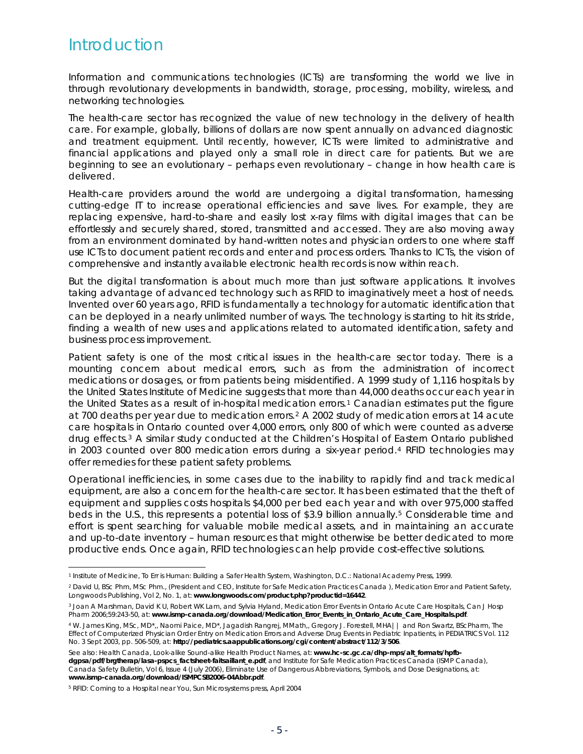## <span id="page-6-0"></span>Introduction

Information and communications technologies (ICTs) are transforming the world we live in through revolutionary developments in bandwidth, storage, processing, mobility, wireless, and networking technologies.

The health-care sector has recognized the value of new technology in the delivery of health care. For example, globally, billions of dollars are now spent annually on advanced diagnostic and treatment equipment. Until recently, however, ICTs were limited to administrative and financial applications and played only a small role in direct care for patients. But we are beginning to see an evolutionary – perhaps even revolutionary – change in how health care is delivered.

Health-care providers around the world are undergoing a digital transformation, harnessing cutting-edge IT to increase operational efficiencies and save lives. For example, they are replacing expensive, hard-to-share and easily lost x-ray films with digital images that can be effortlessly and securely shared, stored, transmitted and accessed. They are also moving away from an environment dominated by hand-written notes and physician orders to one where staff use ICTs to document patient records and enter and process orders. Thanks to ICTs, the vision of comprehensive and instantly available electronic health records is now within reach.

But the digital transformation is about much more than just software applications. It involves taking advantage of advanced technology such as RFID to imaginatively meet a host of needs. Invented over 60 years ago, RFID is fundamentally a technology for automatic identification that can be deployed in a nearly unlimited number of ways. The technology is starting to hit its stride, finding a wealth of new uses and applications related to automated identification, safety and business process improvement.

Patient safety is one of the most critical issues in the health-care sector today. There is a mounting concern about medical errors, such as from the administration of incorrect medications or dosages, or from patients being misidentified. A 1999 study of 1,116 hospitals by the United States Institute of Medicine suggests that more than 44,000 deaths occur each year in the United States as a result of in-hospital medication errors.<sup>[1](#page-6-1)</sup> Canadian estimates put the figure at 700 deaths per year due to medication errors.[2](#page-6-2) A 2002 study of medication errors at 14 acute care hospitals in Ontario counted over 4,000 errors, only 800 of which were counted as adverse drug effects.[3](#page-6-3) A similar study conducted at the Children's Hospital of Eastern Ontario published in 2003 counted over 800 medication errors during a six-year period.<sup>4</sup> RFID technologies may offer remedies for these patient safety problems.

Operational inefficiencies, in some cases due to the inability to rapidly find and track medical equipment, are also a concern for the health-care sector. It has been estimated that the theft of equipment and supplies costs hospitals \$4,000 per bed each year and with over 975,000 staffed beds in the U.S., this represents a potential loss of \$3.9 billion annually.[5](#page-6-5) Considerable time and effort is spent searching for valuable mobile medical assets, and in maintaining an accurate and up-to-date inventory – human resources that might otherwise be better dedicated to more productive ends. Once again, RFID technologies can help provide cost-effective solutions.

l

<span id="page-6-1"></span><sup>1</sup> Institute of Medicine, *To Err is Human: Building a Safer Health System*, Washington, D.C.: National Academy Press, 1999.

<span id="page-6-2"></span><sup>2</sup> David U, BSc Phm, MSc Phm., (President and CEO, Institute for Safe Medication Practices Canada ), *Medication Error and Patient Safety*, Longwoods Publishing, Vol 2, No. 1, at: **www.longwoods.com/product.php?productid=16442**.

<span id="page-6-3"></span><sup>3</sup> Joan A Marshman, David K U, Robert WK Lam, and Sylvia Hyland, *Medication Error Events in Ontario Acute Care Hospitals*, Can J Hosp Pharm 2006;59:243-50, at: **www.ismp-canada.org/download/Medication\_Error\_Events\_in\_Ontario\_Acute\_Care\_Hospitals.pdf**.

<span id="page-6-4"></span><sup>4</sup> W. James King, MSc, MD\*,, Naomi Paice, MD\*, Jagadish Rangrej, MMath,, Gregory J. Forestell, MHA|| and Ron Swartz, BScPharm, *The Effect of Computerized Physician Order Entry on Medication Errors and Adverse Drug Events in Pediatric Inpatients*, in PEDIATRICS Vol. 112 No. 3 Sept 2003, pp. 506-509, at: **http://pediatrics.aappublications.org/cgi/content/abstract/112/3/506**.

See also: Health Canada, Look-alike Sound-alike Health Product Names, at: **www.hc-sc.gc.ca/dhp-mps/alt\_formats/hpfbdgpsa/pdf/brgtherap/lasa-pspcs\_factsheet-faitsaillant\_e.pdf**, and Institute for Safe Medication Practices Canada (ISMP Canada), Canada Safety Bulletin, Vol 6, Issue 4 (July 2006), *Eliminate Use of Dangerous Abbreviations, Symbols, and Dose Designations*, at: **www.ismp-canada.org/download/ISMPCSB2006-04Abbr.pdf**.

<span id="page-6-5"></span><sup>5</sup> *RFID: Coming to a Hospital near You*, Sun Microsystems press, April 2004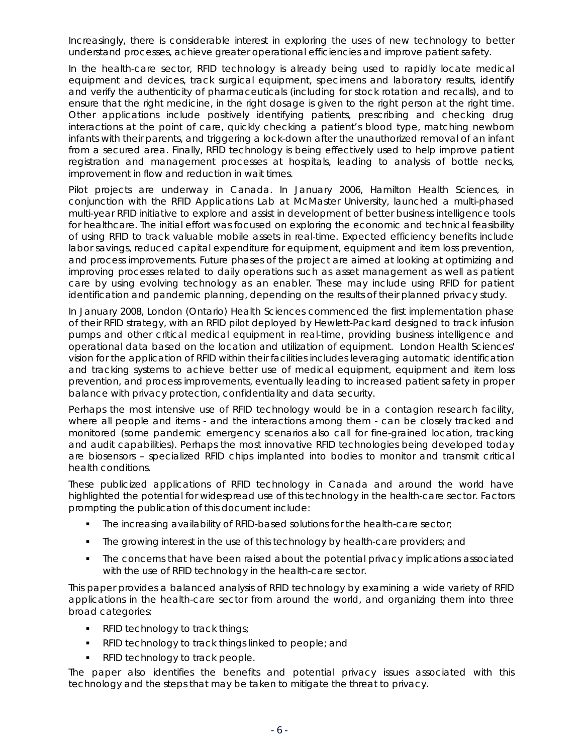Increasingly, there is considerable interest in exploring the uses of new technology to better understand processes, achieve greater operational efficiencies and improve patient safety.

In the health-care sector, RFID technology is already being used to rapidly locate medical equipment and devices, track surgical equipment, specimens and laboratory results, identify and verify the authenticity of pharmaceuticals (including for stock rotation and recalls), and to ensure that the right medicine, in the right dosage is given to the right person at the right time. Other applications include positively identifying patients, prescribing and checking drug interactions at the point of care, quickly checking a patient's blood type, matching newborn infants with their parents, and triggering a lock-down after the unauthorized removal of an infant from a secured area. Finally, RFID technology is being effectively used to help improve patient registration and management processes at hospitals, leading to analysis of bottle necks, improvement in flow and reduction in wait times.

Pilot projects are underway in Canada. In January 2006, Hamilton Health Sciences, in conjunction with the RFID Applications Lab at McMaster University, launched a multi-phased multi-year RFID initiative to explore and assist in development of better business intelligence tools for healthcare. The initial effort was focused on exploring the economic and technical feasibility of using RFID to track valuable mobile assets in real-time. Expected efficiency benefits include labor savings, reduced capital expenditure for equipment, equipment and item loss prevention, and process improvements. Future phases of the project are aimed at looking at optimizing and improving processes related to daily operations such as asset management as well as patient care by using evolving technology as an enabler. These may include using RFID for patient identification and pandemic planning, depending on the results of their planned privacy study.

In January 2008, London (Ontario) Health Sciences commenced the first implementation phase of their RFID strategy, with an RFID pilot deployed by Hewlett-Packard designed to track infusion pumps and other critical medical equipment in real-time, providing business intelligence and operational data based on the location and utilization of equipment. London Health Sciences' vision for the application of RFID within their facilities includes leveraging automatic identification and tracking systems to achieve better use of medical equipment, equipment and item loss prevention, and process improvements, eventually leading to increased patient safety in proper balance with privacy protection, confidentiality and data security.

Perhaps the most intensive use of RFID technology would be in a contagion research facility, where all people and items - and the interactions among them - can be closely tracked and monitored (some pandemic emergency scenarios also call for fine-grained location, tracking and audit capabilities). Perhaps the most innovative RFID technologies being developed today are biosensors – specialized RFID chips implanted into bodies to monitor and transmit critical health conditions.

These publicized applications of RFID technology in Canada and around the world have highlighted the potential for widespread use of this technology in the health-care sector. Factors prompting the publication of this document include:

- The increasing availability of RFID-based solutions for the health-care sector;
- The growing interest in the use of this technology by health-care providers; and
- The concerns that have been raised about the potential privacy implications associated with the use of RFID technology in the health-care sector.

This paper provides a balanced analysis of RFID technology by examining a wide variety of RFID applications in the health-care sector from around the world, and organizing them into three broad categories:

- **RFID technology to track things;**
- **F** RFID technology to track things linked to people; and
- **RFID technology to track people.**

The paper also identifies the benefits and potential privacy issues associated with this technology and the steps that may be taken to mitigate the threat to privacy.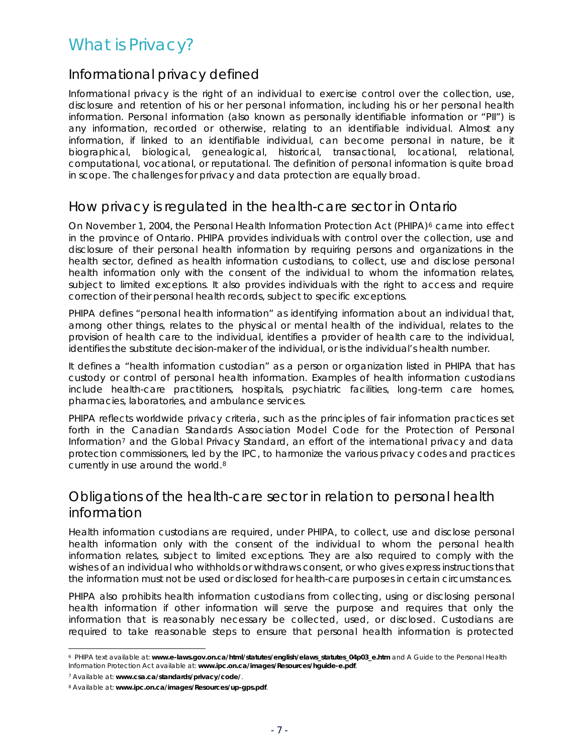## <span id="page-8-0"></span>What is Privacy?

### Informational privacy defined

Informational privacy is the right of an individual to exercise control over the collection, use, disclosure and retention of his or her personal information, including his or her personal health information. Personal information (also known as personally identifiable information or "PII") is any information, recorded or otherwise, relating to an identifiable individual. Almost any information, if linked to an identifiable individual, can become personal in nature, be it biographical, biological, genealogical, historical, transactional, locational, relational, computational, vocational, or reputational. The definition of personal information is quite broad in scope. The challenges for privacy and data protection are equally broad.

### How privacy is regulated in the health-care sector in Ontario

On November 1, 2004, the *Personal Health Information Protection Act* (*PHIPA*)[6](#page-8-1) came into effect in the province of Ontario. *PHIPA* provides individuals with control over the collection, use and disclosure of their personal health information by requiring persons and organizations in the health sector, defined as health information custodians, to collect, use and disclose personal health information only with the consent of the individual to whom the information relates, subject to limited exceptions. It also provides individuals with the right to access and require correction of their personal health records, subject to specific exceptions.

*PHIPA* defines "personal health information" as identifying information about an individual that, among other things, relates to the physical or mental health of the individual, relates to the provision of health care to the individual, identifies a provider of health care to the individual, identifies the substitute decision-maker of the individual, or is the individual's health number.

It defines a "health information custodian" as a person or organization listed in *PHIPA* that has custody or control of personal health information. Examples of health information custodians include health-care practitioners, hospitals, psychiatric facilities, long-term care homes, pharmacies, laboratories, and ambulance services.

*PHIPA* reflects worldwide privacy criteria, such as the principles of fair information practices set forth in the *Canadian Standards Association Model Code for the Protection of Personal Information*[7](#page-8-2) and the *Global Privacy Standard*, an effort of the international privacy and data protection commissioners, led by the IPC, to harmonize the various privacy codes and practices currently in use around the world.[8](#page-8-3)

### Obligations of the health-care sector in relation to personal health information

Health information custodians are required, under *PHIPA*, to collect, use and disclose personal health information only with the consent of the individual to whom the personal health information relates, subject to limited exceptions. They are also required to comply with the wishes of an individual who withholds or withdraws consent, or who gives express instructions that the information must not be used or disclosed for health-care purposes in certain circumstances.

*PHIPA* also prohibits health information custodians from collecting, using or disclosing personal health information if other information will serve the purpose and requires that only the information that is reasonably necessary be collected, used, or disclosed. Custodians are required to take reasonable steps to ensure that personal health information is protected

<span id="page-8-1"></span><sup>1</sup> 6 *PHIPA* text available at: **www.e-laws.gov.on.ca/html/statutes/english/elaws\_statutes\_04p03\_e.htm** and *A Guide to the Personal Health Information Protection Act* available at: **www.ipc.on.ca/images/Resources/hguide-e.pdf**.

<span id="page-8-2"></span><sup>7</sup> Available at: **www.csa.ca/standards/privacy/code/**.

<span id="page-8-3"></span><sup>8</sup> Available at: **www.ipc.on.ca/images/Resources/up-gps.pdf**.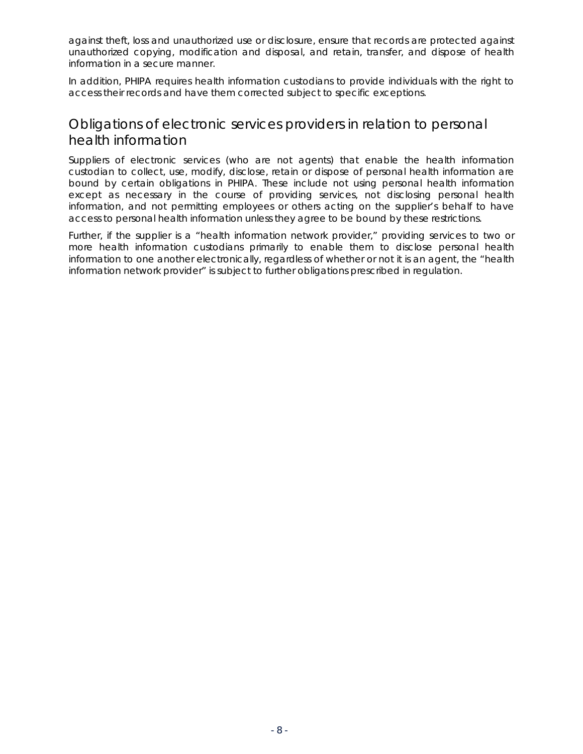<span id="page-9-0"></span>against theft, loss and unauthorized use or disclosure, ensure that records are protected against unauthorized copying, modification and disposal, and retain, transfer, and dispose of health information in a secure manner.

In addition, *PHIPA* requires health information custodians to provide individuals with the right to access their records and have them corrected subject to specific exceptions.

### Obligations of electronic services providers in relation to personal health information

Suppliers of electronic services (who are not agents) that enable the health information custodian to collect, use, modify, disclose, retain or dispose of personal health information are bound by certain obligations in *PHIPA*. These include not using personal health information except as necessary in the course of providing services, not disclosing personal health information, and not permitting employees or others acting on the supplier's behalf to have access to personal health information unless they agree to be bound by these restrictions.

Further, if the supplier is a "health information network provider," providing services to two or more health information custodians primarily to enable them to disclose personal health information to one another electronically, regardless of whether or not it is an agent, the "health information network provider" is subject to further obligations prescribed in regulation.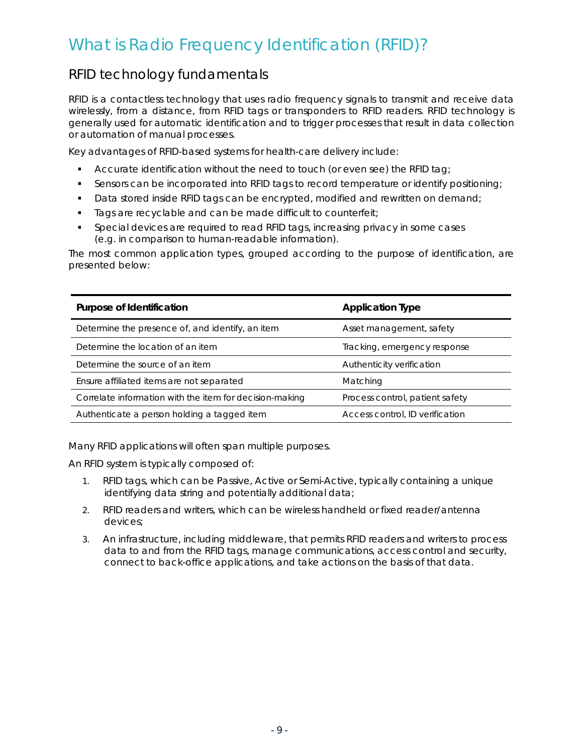## <span id="page-10-0"></span>What is Radio Frequency Identification (RFID)?

### RFID technology fundamentals

RFID is a contactless technology that uses radio frequency signals to transmit and receive data wirelessly, from a distance, from RFID tags or transponders to RFID readers. RFID technology is generally used for automatic identification and to trigger processes that result in data collection or automation of manual processes.

Key advantages of RFID-based systems for health-care delivery include:

- Accurate identification without the need to touch (or even see) the RFID tag;
- Sensors can be incorporated into RFID tags to record temperature or identify positioning;
- Data stored inside RFID tags can be encrypted, modified and rewritten on demand;
- Tags are recyclable and can be made difficult to counterfeit;
- Special devices are required to read RFID tags, increasing privacy in some cases (e.g. in comparison to human-readable information).

The most common application types, grouped according to the purpose of identification, are presented below:

| Purpose of Identification                               | <b>Application Type</b>         |
|---------------------------------------------------------|---------------------------------|
| Determine the presence of, and identify, an item        | Asset management, safety        |
| Determine the location of an item                       | Tracking, emergency response    |
| Determine the source of an item                         | Authenticity verification       |
| Ensure affiliated items are not separated               | Matching                        |
| Correlate information with the item for decision-making | Process control, patient safety |
| Authenticate a person holding a tagged item             | Access control, ID verification |

Many RFID applications will often span multiple purposes.

An RFID system is typically composed of:

- 1. RFID tags, which can be Passive, Active or Semi-Active, typically containing a unique identifying data string and potentially additional data;
- 2. RFID readers and writers, which can be wireless handheld or fixed reader/antenna devices;
- 3. An infrastructure, including middleware, that permits RFID readers and writers to process data to and from the RFID tags, manage communications, access control and security, connect to back-office applications, and take actions on the basis of that data.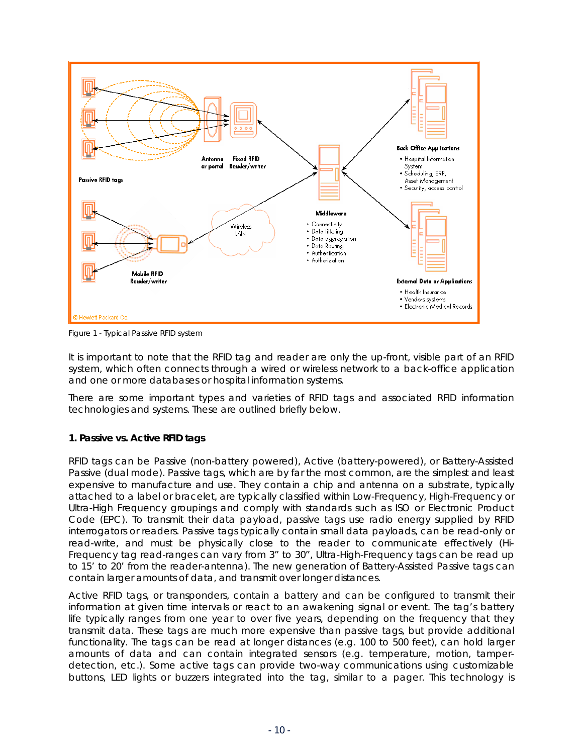

Figure 1 - Typical Passive RFID system

It is important to note that the RFID tag and reader are only the up-front, visible part of an RFID system, which often connects through a wired or wireless network to a back-office application and one or more databases or hospital information systems.

There are some important types and varieties of RFID tags and associated RFID information technologies and systems. These are outlined briefly below.

### **1. Passive vs. Active RFID tags**

RFID tags can be Passive (non-battery powered), Active (battery-powered), or Battery-Assisted Passive (dual mode). Passive tags, which are by far the most common, are the simplest and least expensive to manufacture and use. They contain a chip and antenna on a substrate, typically attached to a label or bracelet, are typically classified within Low-Frequency, High-Frequency or Ultra-High Frequency groupings and comply with standards such as ISO or Electronic Product Code (EPC). To transmit their data payload, passive tags use radio energy supplied by RFID interrogators or readers. Passive tags typically contain small data payloads, can be read-only or read-write, and must be physically close to the reader to communicate effectively (Hi-Frequency tag read-ranges can vary from 3" to 30", Ultra-High-Frequency tags can be read up to 15' to 20' from the reader-antenna). The new generation of Battery-Assisted Passive tags can contain larger amounts of data, and transmit over longer distances.

Active RFID tags, or transponders, contain a battery and can be configured to transmit their information at given time intervals or react to an awakening signal or event. The tag's battery life typically ranges from one year to over five years, depending on the frequency that they transmit data. These tags are much more expensive than passive tags, but provide additional functionality. The tags can be read at longer distances (e.g. 100 to 500 feet), can hold larger amounts of data and can contain integrated sensors (e.g. temperature, motion, tamperdetection, etc.). Some active tags can provide two-way communications using customizable buttons, LED lights or buzzers integrated into the tag, similar to a pager. This technology is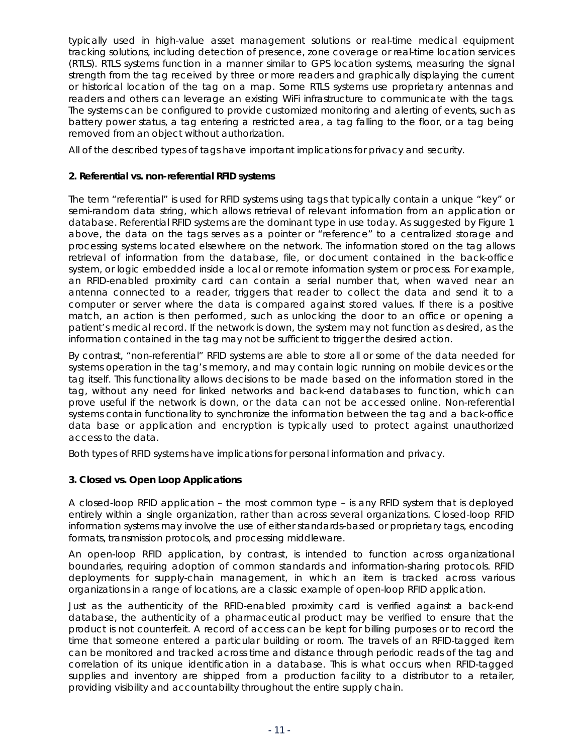typically used in high-value asset management solutions or real-time medical equipment tracking solutions, including detection of presence, zone coverage or real-time location services (RTLS). RTLS systems function in a manner similar to GPS location systems, measuring the signal strength from the tag received by three or more readers and graphically displaying the current or historical location of the tag on a map. Some RTLS systems use proprietary antennas and readers and others can leverage an existing WiFi infrastructure to communicate with the tags. The systems can be configured to provide customized monitoring and alerting of events, such as battery power status, a tag entering a restricted area, a tag falling to the floor, or a tag being removed from an object without authorization.

All of the described types of tags have important implications for privacy and security.

#### **2. Referential vs. non-referential RFID systems**

The term "referential" is used for RFID systems using tags that typically contain a unique "key" or semi-random data string, which allows retrieval of relevant information from an application or database. Referential RFID systems are the dominant type in use today. As suggested by Figure 1 above, the data on the tags serves as a pointer or "reference" to a centralized storage and processing systems located elsewhere on the network. The information stored on the tag allows retrieval of information from the database, file, or document contained in the back-office system, or logic embedded inside a local or remote information system or process. For example, an RFID-enabled proximity card can contain a serial number that, when waved near an antenna connected to a reader, triggers that reader to collect the data and send it to a computer or server where the data is compared against stored values. If there is a positive match, an action is then performed, such as unlocking the door to an office or opening a patient's medical record. If the network is down, the system may not function as desired, as the information contained in the tag may not be sufficient to trigger the desired action.

By contrast, "non-referential" RFID systems are able to store all or some of the data needed for systems operation in the tag's memory, and may contain logic running on mobile devices or the tag itself. This functionality allows decisions to be made based on the information stored in the tag, without any need for linked networks and back-end databases to function, which can prove useful if the network is down, or the data can not be accessed online. Non-referential systems contain functionality to synchronize the information between the tag and a back-office data base or application and encryption is typically used to protect against unauthorized access to the data.

Both types of RFID systems have implications for personal information and privacy.

### **3. Closed vs. Open Loop Applications**

A closed-loop RFID application – the most common type – is any RFID system that is deployed entirely within a single organization, rather than across several organizations. Closed-loop RFID information systems may involve the use of either standards-based or proprietary tags, encoding formats, transmission protocols, and processing middleware.

An open-loop RFID application, by contrast, is intended to function across organizational boundaries, requiring adoption of common standards and information-sharing protocols. RFID deployments for supply-chain management, in which an item is tracked across various organizations in a range of locations, are a classic example of open-loop RFID application.

Just as the authenticity of the RFID-enabled proximity card is verified against a back-end database, the authenticity of a pharmaceutical product may be verified to ensure that the product is not counterfeit. A record of access can be kept for billing purposes or to record the time that someone entered a particular building or room. The travels of an RFID-tagged item can be monitored and tracked across time and distance through periodic reads of the tag and correlation of its unique identification in a database. This is what occurs when RFID-tagged supplies and inventory are shipped from a production facility to a distributor to a retailer, providing visibility and accountability throughout the entire supply chain.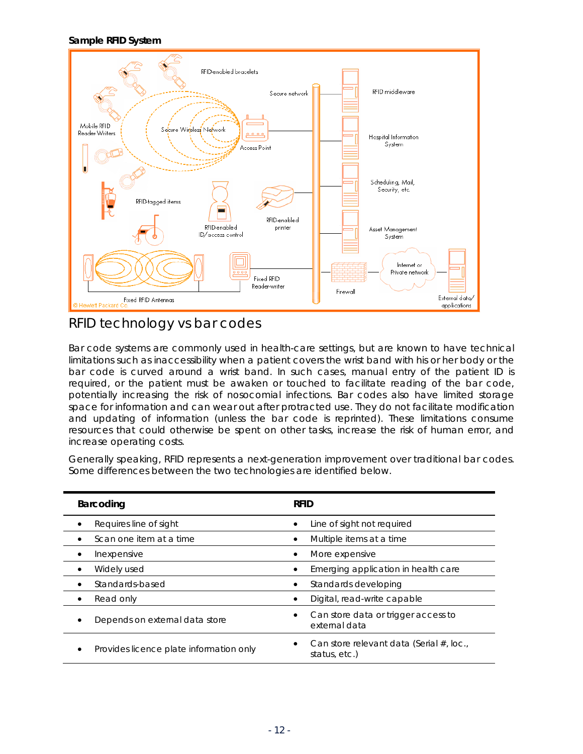#### <span id="page-13-0"></span>**Sample RFID System**



### RFID technology vs bar codes

Bar code systems are commonly used in health-care settings, but are known to have technical limitations such as inaccessibility when a patient covers the wrist band with his or her body or the bar code is curved around a wrist band. In such cases, manual entry of the patient ID is required, or the patient must be awaken or touched to facilitate reading of the bar code, potentially increasing the risk of nosocomial infections. Bar codes also have limited storage space for information and can wear out after protracted use. They do not facilitate modification and updating of information (unless the bar code is reprinted). These limitations consume resources that could otherwise be spent on other tasks, increase the risk of human error, and increase operating costs.

Generally speaking, RFID represents a next-generation improvement over traditional bar codes. Some differences between the two technologies are identified below.

| Barcoding                               | <b>RFID</b>                                               |
|-----------------------------------------|-----------------------------------------------------------|
| Requires line of sight                  | Line of sight not required                                |
| Scan one item at a time                 | Multiple items at a time                                  |
| Inexpensive                             | More expensive                                            |
| Widely used                             | Emerging application in health care                       |
| Standards-based                         | Standards developing                                      |
| Read only                               | Digital, read-write capable                               |
| Depends on external data store          | Can store data or trigger access to<br>external data      |
| Provides licence plate information only | Can store relevant data (Serial #, loc.,<br>status, etc.) |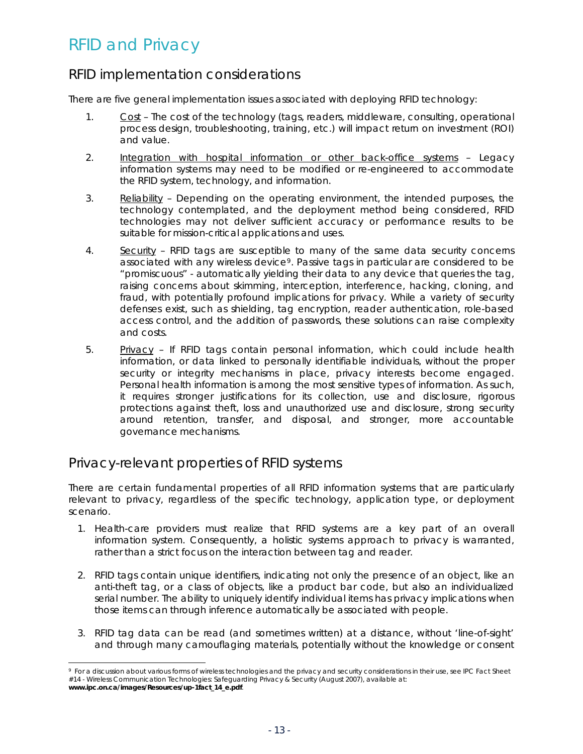## <span id="page-14-0"></span>RFID and Privacy

### RFID implementation considerations

There are five general implementation issues associated with deploying RFID technology:

- 1. Cost The cost of the technology (tags, readers, middleware, consulting, operational process design, troubleshooting, training, etc.) will impact return on investment (ROI) and value.
- 2. Integration with hospital information or other back-office systems Legacy information systems may need to be modified or re-engineered to accommodate the RFID system, technology, and information.
- 3. Reliability Depending on the operating environment, the intended purposes, the technology contemplated, and the deployment method being considered, RFID technologies may not deliver sufficient accuracy or performance results to be suitable for mission-critical applications and uses.
- 4. Security RFID tags are susceptible to many of the same data security concerns associated with any wireless device<sup>[9](#page-14-1)</sup>. Passive tags in particular are considered to be "promiscuous" - automatically yielding their data to any device that queries the tag, raising concerns about skimming, interception, interference, hacking, cloning, and fraud, with potentially profound implications for privacy. While a variety of security defenses exist, such as shielding, tag encryption, reader authentication, role-based access control, and the addition of passwords, these solutions can raise complexity and costs.
- 5. Privacy If RFID tags contain personal information, which could include health information, or data linked to personally identifiable individuals, without the proper security or integrity mechanisms in place, privacy interests become engaged. Personal health information is among the most sensitive types of information. As such, it requires stronger justifications for its collection, use and disclosure, rigorous protections against theft, loss and unauthorized use and disclosure, strong security around retention, transfer, and disposal, and stronger, more accountable governance mechanisms.

### Privacy-relevant properties of RFID systems

1

There are certain fundamental properties of all RFID information systems that are particularly relevant to privacy, regardless of the specific technology, application type, or deployment scenario.

- 1. Health-care providers must realize that RFID systems are a key part of an overall information system. Consequently, a holistic systems approach to privacy is warranted, rather than a strict focus on the interaction between tag and reader.
- 2. RFID tags contain unique identifiers, indicating not only the presence of an object, like an anti-theft tag, or a class of objects, like a product bar code, but also an individualized serial number. The ability to uniquely identify individual items has privacy implications when those items can through inference automatically be associated with people.
- 3. RFID tag data can be read (and sometimes written) at a distance, without 'line-of-sight' and through many camouflaging materials, potentially without the knowledge or consent

<span id="page-14-1"></span><sup>9</sup> For a discussion about various forms of wireless technologies and the privacy and security considerations in their use, see *IPC Fact Sheet #14 - Wireless Communication Technologies: Safeguarding Privacy & Security* (August 2007), available at: **www.ipc.on.ca/images/Resources/up-1fact\_14\_e.pdf**.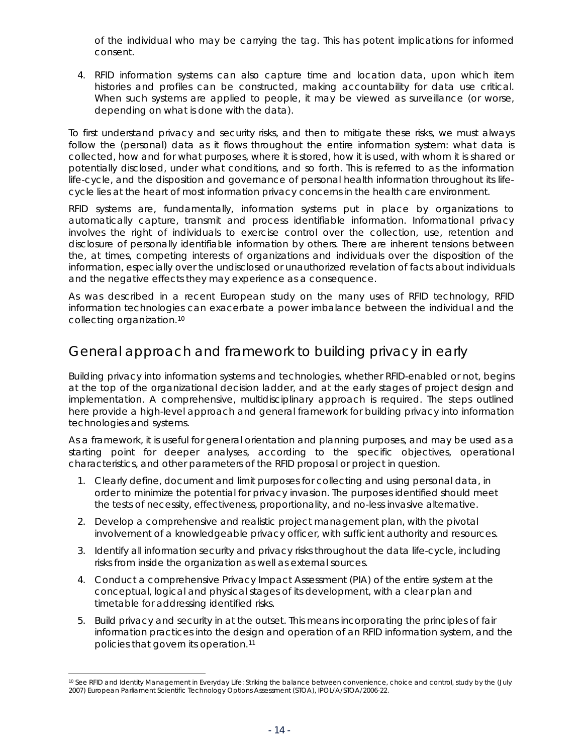<span id="page-15-0"></span>of the individual who may be carrying the tag. This has potent implications for informed consent.

4. RFID information systems can also capture time and location data, upon which item histories and profiles can be constructed, making accountability for data use critical. When such systems are applied to people, it may be viewed as surveillance (or worse, depending on what is done with the data).

To first understand privacy and security risks, and then to mitigate these risks, we must always follow the (personal) data as it flows throughout the entire information system: what data is collected, how and for what purposes, where it is stored, how it is used, with whom it is shared or potentially disclosed, under what conditions, and so forth. This is referred to as the information life-cycle, and the disposition and governance of personal health information throughout its lifecycle lies at the heart of most information privacy concerns in the health care environment.

RFID systems are, fundamentally, information systems put in place by organizations to automatically capture, transmit and process identifiable information. Informational privacy involves the right of individuals to exercise control over the collection, use, retention and disclosure of *personally* identifiable information by others. There are inherent tensions between the, at times, competing interests of organizations and individuals over the disposition of the information, especially over the undisclosed or unauthorized revelation of facts about individuals and the negative effects they may experience as a consequence.

As was described in a recent European study on the many uses of RFID technology, RFID information technologies can exacerbate a power imbalance between the individual and the collecting organization.[10](#page-15-1)

### General approach and framework to building privacy in early

Building privacy into information systems and technologies, whether RFID-enabled or not, begins at the top of the organizational decision ladder, and at the early stages of project design and implementation. A comprehensive, multidisciplinary approach is required. The steps outlined here provide a high-level approach and general framework for building privacy into information technologies and systems.

As a framework, it is useful for general orientation and planning purposes, and may be used as a starting point for deeper analyses, according to the specific objectives, operational characteristics, and other parameters of the RFID proposal or project in question.

- 1. Clearly define, document and limit purposes for collecting and using personal data, in order to minimize the potential for privacy invasion. The purposes identified should meet the tests of necessity, effectiveness, proportionality, and no-less invasive alternative.
- 2. Develop a comprehensive and realistic project management plan, with the pivotal involvement of a knowledgeable privacy officer, with sufficient authority and resources.
- 3. Identify all information security and privacy risks throughout the data life-cycle, including risks from inside the organization as well as external sources.
- 4. Conduct a comprehensive Privacy Impact Assessment (PIA) of the entire system at the conceptual, logical and physical stages of its development, with a clear plan and timetable for addressing identified risks.
- 5. Build privacy and security in at the outset. This means incorporating the principles of fair information practices into the design and operation of an RFID information system, and the policies that govern its operation.[11](#page-15-2)

1

<span id="page-15-2"></span><span id="page-15-1"></span><sup>&</sup>lt;sup>10</sup> See RFID and Identity Management in Everyday Life: Striking the balance between convenience, choice and control, study by the (July 2007) European Parliament Scientific Technology Options Assessment (STOA), IPOL/A/STOA/2006-22.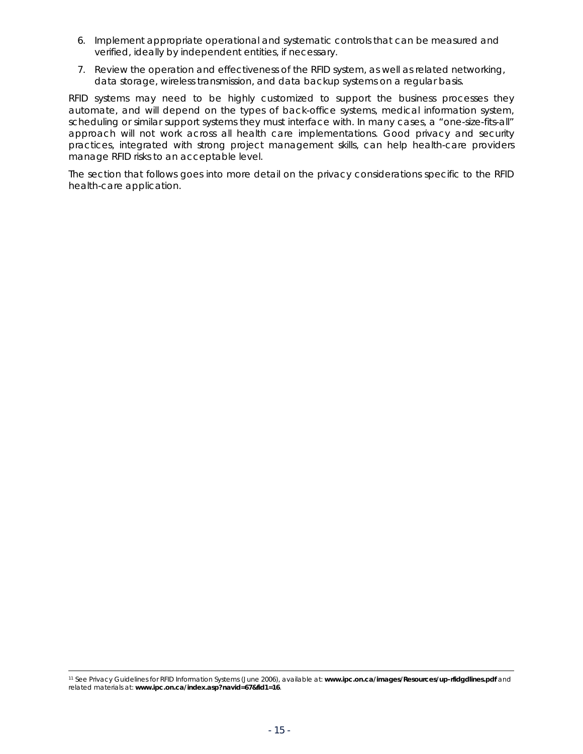- 6. Implement appropriate operational and systematic controls that can be measured and verified, ideally by independent entities, if necessary.
- 7. Review the operation and effectiveness of the RFID system, as well as related networking, data storage, wireless transmission, and data backup systems on a regular basis.

RFID systems may need to be highly customized to support the business processes they automate, and will depend on the types of back-office systems, medical information system, scheduling or similar support systems they must interface with. In many cases, a "one-size-fits-all" approach will not work across all health care implementations. Good privacy and security practices, integrated with strong project management skills, can help health-care providers manage RFID risks to an acceptable level.

The section that follows goes into more detail on the privacy considerations specific to the RFID health-care application.

11 See *Privacy Guidelines for RFID Information Systems* (June 2006), available at: **www.ipc.on.ca/images/Resources/up-rfidgdlines.pdf** and related materials at: **www.ipc.on.ca/index.asp?navid=67&fid1=16**.

1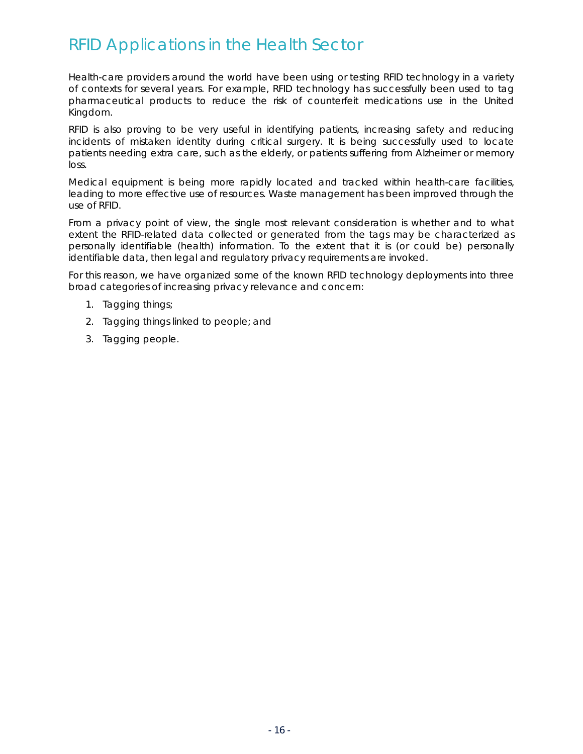## <span id="page-17-0"></span>RFID Applications in the Health Sector

Health-care providers around the world have been using or testing RFID technology in a variety of contexts for several years. For example, RFID technology has successfully been used to tag pharmaceutical products to reduce the risk of counterfeit medications use in the United Kingdom.

RFID is also proving to be very useful in identifying patients, increasing safety and reducing incidents of mistaken identity during critical surgery. It is being successfully used to locate patients needing extra care, such as the elderly, or patients suffering from Alzheimer or memory loss.

Medical equipment is being more rapidly located and tracked within health-care facilities, leading to more effective use of resources. Waste management has been improved through the use of RFID.

From a privacy point of view, the single most relevant consideration is whether and to what extent the RFID-related data collected or generated from the tags may be characterized as personally identifiable (health) information. To the extent that it is (or could be) personally identifiable data, then legal and regulatory privacy requirements are invoked.

For this reason, we have organized some of the known RFID technology deployments into three broad categories of increasing privacy relevance and concern:

- 1. Tagging things;
- 2. Tagging things linked to people; and
- 3. Tagging people.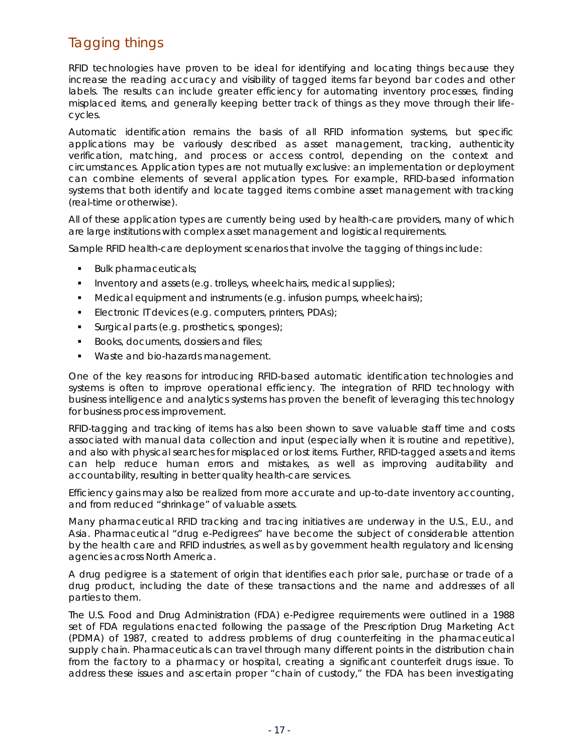### <span id="page-18-0"></span>Tagging *things*

RFID technologies have proven to be ideal for identifying and locating *things* because they increase the reading accuracy and visibility of tagged items far beyond bar codes and other labels. The results can include greater efficiency for automating inventory processes, finding misplaced items, and generally keeping better track of things as they move through their lifecycles.

Automatic identification remains the basis of all RFID information systems, but specific applications may be variously described as asset management, tracking, authenticity verification, matching, and process or access control, depending on the context and circumstances. Application types are not mutually exclusive: an implementation or deployment can combine elements of several application types. For example, RFID-based information systems that both identify *and* locate tagged items combine asset management with tracking (real-time or otherwise).

All of these application types are currently being used by health-care providers, many of which are large institutions with complex asset management and logistical requirements.

Sample RFID health-care deployment scenarios that involve the tagging of *things* include:

- **Bulk pharmaceuticals;**
- Inventory and assets (e.g. trolleys, wheelchairs, medical supplies);
- $\blacksquare$  Medical equipment and instruments (e.g. infusion pumps, wheelchairs);
- **Electronic IT devices (e.g. computers, printers, PDAs);**
- **Surgical parts (e.g. prosthetics, sponges);**
- Books, documents, dossiers and files;
- Waste and bio-hazards management.

One of the key reasons for introducing RFID-based automatic identification technologies and systems is often to *improve operational efficiency*. The integration of RFID technology with business intelligence and analytics systems has proven the benefit of leveraging this technology for business process improvement.

RFID-tagging and tracking of items has also been shown to save valuable staff time and costs associated with manual data collection and input (especially when it is routine and repetitive), and also with physical searches for misplaced or lost items. Further, RFID-tagged assets and items can help reduce human errors and mistakes, as well as improving auditability and accountability, resulting in better quality health-care services.

Efficiency gains may also be realized from more accurate and up-to-date inventory accounting, and from reduced "shrinkage" of valuable assets.

Many pharmaceutical RFID tracking and tracing initiatives are underway in the U.S., E.U., and Asia. Pharmaceutical "drug e-Pedigrees" have become the subject of considerable attention by the health care and RFID industries, as well as by government health regulatory and licensing agencies across North America.

A drug pedigree is a statement of origin that identifies each prior sale, purchase or trade of a drug product, including the date of these transactions and the name and addresses of all parties to them.

The U.S. Food and Drug Administration (FDA) e-Pedigree requirements were outlined in a 1988 set of FDA regulations enacted following the passage of the Prescription Drug Marketing Act (PDMA) of 1987, created to address problems of drug counterfeiting in the pharmaceutical supply chain. Pharmaceuticals can travel through many different points in the distribution chain from the factory to a pharmacy or hospital, creating a significant counterfeit drugs issue. To address these issues and ascertain proper "chain of custody," the FDA has been investigating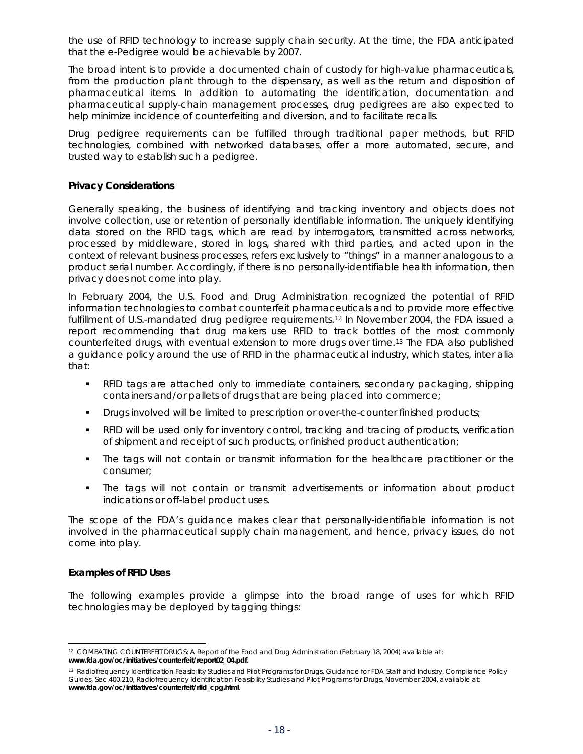<span id="page-19-0"></span>the use of RFID technology to increase supply chain security. At the time, the FDA anticipated that the e-Pedigree would be achievable by 2007.

The broad intent is to provide a documented chain of custody for high-value pharmaceuticals, from the production plant through to the dispensary, as well as the return and disposition of pharmaceutical items. In addition to automating the identification, documentation and pharmaceutical supply-chain management processes, drug pedigrees are also expected to help minimize incidence of counterfeiting and diversion, and to facilitate recalls.

Drug pedigree requirements can be fulfilled through traditional paper methods, but RFID technologies, combined with networked databases, offer a more automated, secure, and trusted way to establish such a pedigree.

#### **Privacy Considerations**

Generally speaking, the business of identifying and tracking inventory and objects does not involve collection, use or retention of personally identifiable information. The uniquely identifying data stored on the RFID tags, which are read by interrogators, transmitted across networks, processed by middleware, stored in logs, shared with third parties, and acted upon in the context of relevant business processes, refers exclusively to "things" in a manner analogous to a product serial number. Accordingly, if there is no personally-identifiable health information, then privacy does not come into play.

In February 2004, the U.S. Food and Drug Administration recognized the potential of RFID information technologies to combat counterfeit pharmaceuticals and to provide more effective fulfillment of U.S.-mandated drug pedigree requirements.<sup>[12](#page-19-1)</sup> In November 2004, the FDA issued a report recommending that drug makers use RFID to track bottles of the most commonly counterfeited drugs, with eventual extension to more drugs over time.[13](#page-19-2) The FDA also published a guidance policy around the use of RFID in the pharmaceutical industry, which states, *inter alia* that:

- RFID tags are attached only to immediate containers, secondary packaging, shipping containers and/or pallets of drugs that are being placed into commerce;
- **•** Drugs involved will be limited to prescription or over-the-counter finished products;
- RFID will be used only for inventory control, tracking and tracing of products, verification of shipment and receipt of such products, or finished product authentication;
- The tags will not contain or transmit information for the healthcare practitioner or the consumer;
- The tags will not contain or transmit advertisements or information about product indications or off-label product uses.

The scope of the FDA's guidance makes clear that personally-identifiable information is not involved in the pharmaceutical supply chain management, and hence, privacy issues, do not come into play.

#### **Examples of RFID Uses**

The following examples provide a glimpse into the broad range of uses for which RFID technologies may be deployed by tagging things:

<span id="page-19-1"></span><sup>1</sup> 12 *COMBATING COUNTERFEIT DRUGS: A Report of the Food and Drug Administration* (February 18, 2004) available at: **www.fda.gov/oc/initiatives/counterfeit/report02\_04.pdf**.

<span id="page-19-2"></span><sup>13</sup> Radiofrequency Identification Feasibility Studies and Pilot Programs for Drugs, Guidance for FDA Staff and Industry, Compliance Policy Guides, Sec.400.210, *Radiofrequency Identification Feasibility Studies and Pilot Programs for Drugs*, November 2004, available at: **www.fda.gov/oc/initiatives/counterfeit/rfid\_cpg.html**.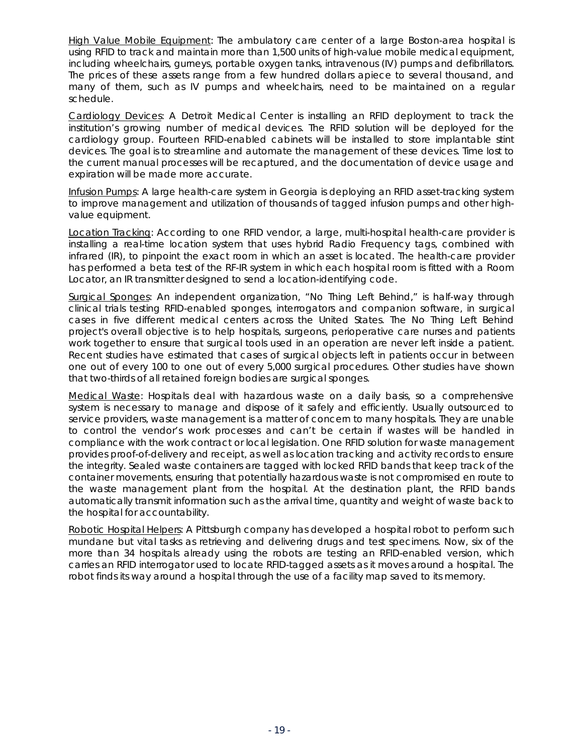High Value Mobile Equipment: The ambulatory care center of a large Boston-area hospital is using RFID to track and maintain more than 1,500 units of high-value mobile medical equipment, including wheelchairs, gurneys, portable oxygen tanks, intravenous (IV) pumps and defibrillators. The prices of these assets range from a few hundred dollars apiece to several thousand, and many of them, such as IV pumps and wheelchairs, need to be maintained on a regular schedule.

Cardiology Devices: A Detroit Medical Center is installing an RFID deployment to track the institution's growing number of medical devices. The RFID solution will be deployed for the cardiology group. Fourteen RFID-enabled cabinets will be installed to store implantable stint devices. The goal is to streamline and automate the management of these devices. Time lost to the current manual processes will be recaptured, and the documentation of device usage and expiration will be made more accurate.

Infusion Pumps: A large health-care system in Georgia is deploying an RFID asset-tracking system to improve management and utilization of thousands of tagged infusion pumps and other highvalue equipment.

Location Tracking: According to one RFID vendor, a large, multi-hospital health-care provider is installing a real-time location system that uses hybrid Radio Frequency tags, combined with infrared (IR), to pinpoint the exact room in which an asset is located. The health-care provider has performed a beta test of the RF-IR system in which each hospital room is fitted with a Room Locator, an IR transmitter designed to send a location-identifying code.

Surgical Sponges: An independent organization, "No Thing Left Behind," is half-way through clinical trials testing RFID-enabled sponges, interrogators and companion software, in surgical cases in five different medical centers across the United States. The No Thing Left Behind project's overall objective is to help hospitals, surgeons, perioperative care nurses and patients work together to ensure that surgical tools used in an operation are never left inside a patient. Recent studies have estimated that cases of surgical objects left in patients occur in between one out of every 100 to one out of every 5,000 surgical procedures. Other studies have shown that two-thirds of all retained foreign bodies are surgical sponges.

Medical Waste: Hospitals deal with hazardous waste on a daily basis, so a comprehensive system is necessary to manage and dispose of it safely and efficiently. Usually outsourced to service providers, waste management is a matter of concern to many hospitals. They are unable to control the vendor's work processes and can't be certain if wastes will be handled in compliance with the work contract or local legislation. One RFID solution for waste management provides proof-of-delivery and receipt, as well as location tracking and activity records to ensure the integrity. Sealed waste containers are tagged with locked RFID bands that keep track of the container movements, ensuring that potentially hazardous waste is not compromised en route to the waste management plant from the hospital. At the destination plant, the RFID bands automatically transmit information such as the arrival time, quantity and weight of waste back to the hospital for accountability.

Robotic Hospital Helpers: A Pittsburgh company has developed a hospital robot to perform such mundane but vital tasks as retrieving and delivering drugs and test specimens. Now, six of the more than 34 hospitals already using the robots are testing an RFID-enabled version, which carries an RFID interrogator used to locate RFID-tagged assets as it moves around a hospital. The robot finds its way around a hospital through the use of a facility map saved to its memory.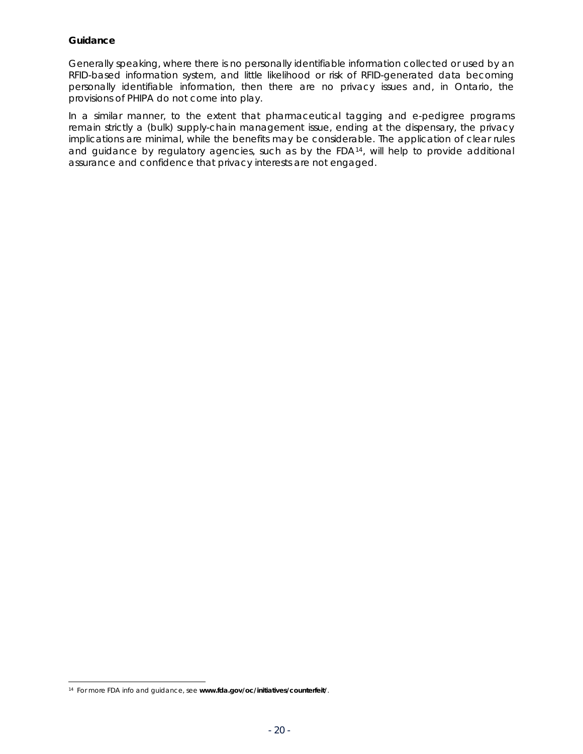#### <span id="page-21-0"></span>**Guidance**

Generally speaking, where there is no personally identifiable information collected or used by an RFID-based information system, and little likelihood or risk of RFID-generated data becoming personally identifiable information, then there are no privacy issues and, in Ontario, the provisions of *PHIPA* do not come into play.

In a similar manner, to the extent that pharmaceutical tagging and e-pedigree programs remain strictly a (bulk) supply-chain management issue, ending at the dispensary, the privacy implications are minimal, while the benefits may be considerable. The application of clear rules and guidance by regulatory agencies, such as by the FDA<sup>[14](#page-21-1)</sup>, will help to provide additional assurance and confidence that privacy interests are not engaged.

l

<span id="page-21-1"></span><sup>14</sup> For more FDA info and guidance, see **www.fda.gov/oc/initiatives/counterfeit/**.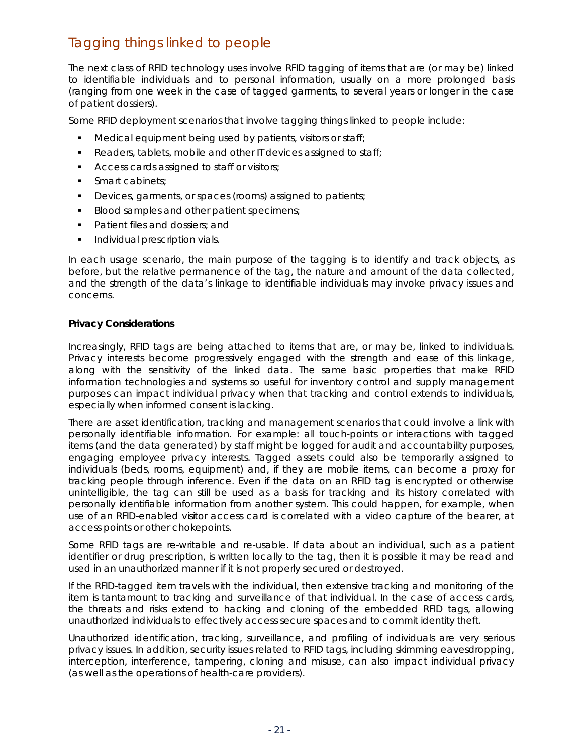### <span id="page-22-0"></span>Tagging things *linked to people*

The next class of RFID technology uses involve RFID tagging of items that are (or may be) linked to identifiable individuals and to personal information, usually on a more prolonged basis (ranging from one week in the case of tagged garments, to several years or longer in the case of patient dossiers).

Some RFID deployment scenarios that involve tagging things linked to *people* include:

- Medical equipment being used by patients, visitors or staff;
- Readers, tablets, mobile and other IT devices assigned to staff;
- **Access cards assigned to staff or visitors;**
- **Smart cabinets;**
- Devices, garments, or spaces (rooms) assigned to patients;
- Blood samples and other patient specimens;
- Patient files and dossiers; and
- **Individual prescription vials.**

In each usage scenario, the main purpose of the tagging is to identify and track objects, as before, but the relative permanence of the tag, the nature and amount of the data collected, and the strength of the data's linkage to identifiable individuals may invoke privacy issues and concerns.

#### **Privacy Considerations**

Increasingly, RFID tags are being attached to items that are, or may be, linked to individuals. Privacy interests become progressively engaged with the strength and ease of this linkage, along with the sensitivity of the linked data. The same basic properties that make RFID information technologies and systems so useful for inventory control and supply management purposes can impact individual privacy when that tracking and control extends to individuals, especially when informed consent is lacking.

There are asset identification, tracking and management scenarios that could involve a link with personally identifiable information. For example: all touch-points or interactions with tagged items (and the data generated) by staff might be logged for audit and accountability purposes, engaging employee privacy interests. Tagged assets could also be temporarily assigned to individuals (beds, rooms, equipment) and, if they are mobile items, can become a proxy for tracking people through inference. Even if the data on an RFID tag is encrypted or otherwise unintelligible, the tag can still be used as a basis for tracking and its history correlated with personally identifiable information from another system. This could happen, for example, when use of an RFID-enabled visitor access card is correlated with a video capture of the bearer, at access points or other chokepoints.

Some RFID tags are re-writable and re-usable. If data about an individual, such as a patient identifier or drug prescription, is written locally to the tag, then it is possible it may be read and used in an unauthorized manner if it is not properly secured or destroyed.

If the RFID-tagged item *travels* with the individual, then extensive tracking and monitoring of the item is tantamount to tracking and surveillance of that individual. In the case of access cards, the threats and risks extend to hacking and cloning of the embedded RFID tags, allowing unauthorized individuals to effectively access secure spaces and to commit identity theft.

Unauthorized identification, tracking, surveillance, and profiling of individuals are very serious privacy issues. In addition, security issues related to RFID tags, including skimming eavesdropping, interception, interference, tampering, cloning and misuse, can also impact individual privacy (as well as the operations of health-care providers).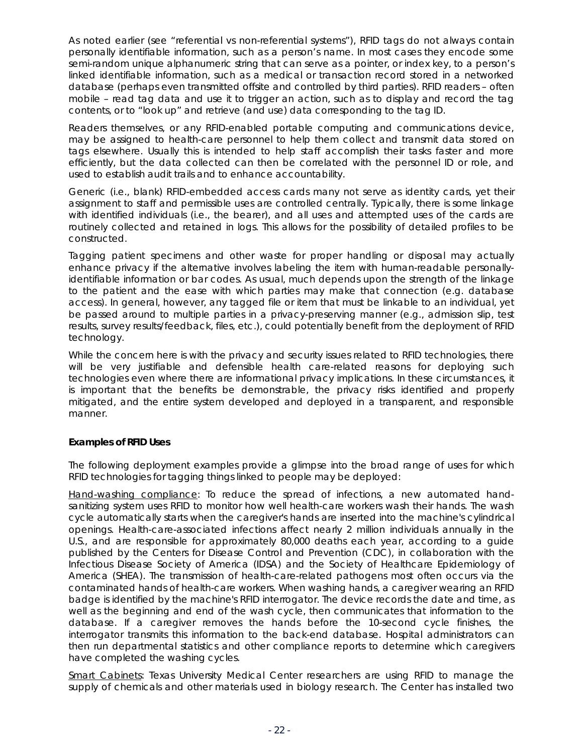<span id="page-23-0"></span>As noted earlier (see "referential vs non-referential systems"), RFID tags do not always contain personally identifiable information, such as a person's name. In most cases they encode some semi-random unique alphanumeric string that can serve as a pointer, or index key, to a person's linked identifiable information, such as a medical or transaction record stored in a networked database (perhaps even transmitted offsite and controlled by third parties). RFID readers – often mobile – read tag data and use it to trigger an action, such as to display and record the tag contents, or to "look up" and retrieve (and use) data corresponding to the tag ID.

Readers themselves, or any RFID-enabled portable computing and communications device, may be assigned to health-care personnel to help them collect and transmit data stored on tags elsewhere. Usually this is intended to help staff accomplish their tasks faster and more efficiently, but the data collected can then be correlated with the personnel ID or role, and used to establish audit trails and to enhance accountability.

Generic (i.e., blank) RFID-embedded access cards many not serve as identity cards, yet their assignment to staff and permissible uses are controlled centrally. Typically, there is some linkage with identified individuals (i.e., the bearer), and all uses and attempted uses of the cards are routinely collected and retained in logs. This allows for the possibility of detailed profiles to be constructed.

Tagging patient specimens and other waste for proper handling or disposal may actually enhance privacy if the alternative involves labeling the item with human-readable personallyidentifiable information or bar codes. As usual, much depends upon the strength of the linkage to the patient and the ease with which parties may make that connection (e.g. database access). In general, however, any tagged file or item that must be linkable to an individual, yet be passed around to multiple parties in a privacy-preserving manner (e.g., admission slip, test results, survey results/feedback, files, etc.), could potentially benefit from the deployment of RFID technology.

While the concern here is with the privacy and security issues related to RFID technologies, there will be very justifiable and defensible health care-related reasons for deploying such technologies even where there are informational privacy implications. In these circumstances, it is important that the benefits be demonstrable, the privacy risks identified and properly mitigated, and the entire system developed and deployed in a transparent, and responsible manner.

### **Examples of RFID Uses**

The following deployment examples provide a glimpse into the broad range of uses for which RFID technologies for tagging things linked to people may be deployed:

Hand-washing compliance: To reduce the spread of infections, a new automated handsanitizing system uses RFID to monitor how well health-care workers wash their hands. The wash cycle automatically starts when the caregiver's hands are inserted into the machine's cylindrical openings. Health-care-associated infections affect nearly 2 million individuals annually in the U.S., and are responsible for approximately 80,000 deaths each year, according to a guide published by the Centers for Disease Control and Prevention (CDC), in collaboration with the Infectious Disease Society of America (IDSA) and the Society of Healthcare Epidemiology of America (SHEA). The transmission of health-care-related pathogens most often occurs via the contaminated hands of health-care workers. When washing hands, a caregiver wearing an RFID badge is identified by the machine's RFID interrogator. The device records the date and time, as well as the beginning and end of the wash cycle, then communicates that information to the database. If a caregiver removes the hands before the 10-second cycle finishes, the interrogator transmits this information to the back-end database. Hospital administrators can then run departmental statistics and other compliance reports to determine which caregivers have completed the washing cycles.

Smart Cabinets: Texas University Medical Center researchers are using RFID to manage the supply of chemicals and other materials used in biology research. The Center has installed two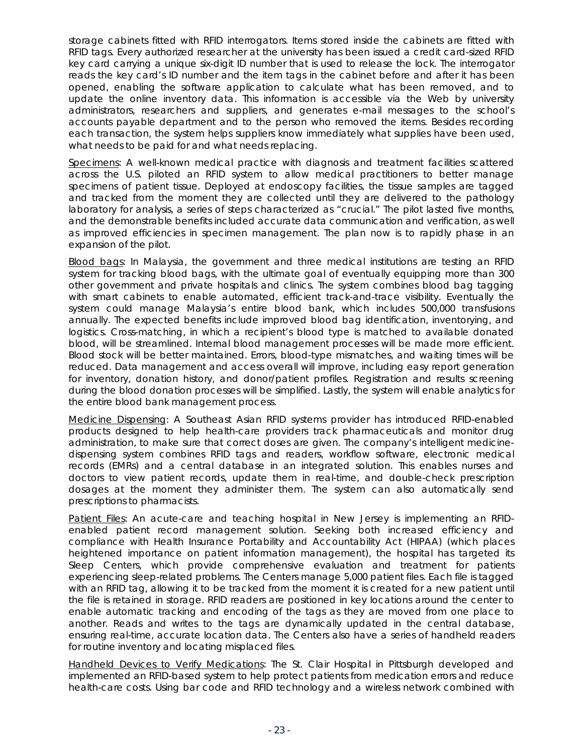storage cabinets fitted with RFID interrogators. Items stored inside the cabinets are fitted with RFID tags. Every authorized researcher at the university has been issued a credit card-sized RFID key card carrying a unique six-digit ID number that is used to release the lock. The interrogator reads the key card's ID number and the item tags in the cabinet before and after it has been opened, enabling the software application to calculate what has been removed, and to update the online inventory data. This information is accessible via the Web by university administrators, researchers and suppliers, and generates e-mail messages to the school's accounts payable department and to the person who removed the items. Besides recording each transaction, the system helps suppliers know immediately what supplies have been used, what needs to be paid for and what needs replacing.

Specimens: A well-known medical practice with diagnosis and treatment facilities scattered across the U.S. piloted an RFID system to allow medical practitioners to better manage specimens of patient tissue. Deployed at endoscopy facilities, the tissue samples are tagged and tracked from the moment they are collected until they are delivered to the pathology laboratory for analysis, a series of steps characterized as "crucial." The pilot lasted five months, and the demonstrable benefits included accurate data communication and verification, as well as improved efficiencies in specimen management. The plan now is to rapidly phase in an expansion of the pilot.

Blood bags: In Malaysia, the government and three medical institutions are testing an RFID system for tracking blood bags, with the ultimate goal of eventually equipping more than 300 other government and private hospitals and clinics. The system combines blood bag tagging with smart cabinets to enable automated, efficient track-and-trace visibility. Eventually the system could manage Malaysia's entire blood bank, which includes 500,000 transfusions annually. The expected benefits include improved blood bag identification, inventorying, and logistics. Cross-matching, in which a recipient's blood type is matched to available donated blood, will be streamlined. Internal blood management processes will be made more efficient. Blood stock will be better maintained. Errors, blood-type mismatches, and waiting times will be reduced. Data management and access overall will improve, including easy report generation for inventory, donation history, and donor/patient profiles. Registration and results screening during the blood donation processes will be simplified. Lastly, the system will enable analytics for the entire blood bank management process.

Medicine Dispensing: A Southeast Asian RFID systems provider has introduced RFID-enabled products designed to help health-care providers track pharmaceuticals and monitor drug administration, to make sure that correct doses are given. The company's intelligent medicinedispensing system combines RFID tags and readers, workflow software, electronic medical records (EMRs) and a central database in an integrated solution. This enables nurses and doctors to view patient records, update them in real-time, and double-check prescription dosages at the moment they administer them. The system can also automatically send prescriptions to pharmacists.

Patient Files: An acute-care and teaching hospital in New Jersey is implementing an RFIDenabled patient record management solution. Seeking both increased efficiency and compliance with *Health Insurance Portability and Accountability Act (HIPAA)* (which places heightened importance on patient information management), the hospital has targeted its Sleep Centers, which provide comprehensive evaluation and treatment for patients experiencing sleep-related problems. The Centers manage 5,000 patient files. Each file is tagged with an RFID tag, allowing it to be tracked from the moment it is created for a new patient until the file is retained in storage. RFID readers are positioned in key locations around the center to enable automatic tracking and encoding of the tags as they are moved from one place to another. Reads and writes to the tags are dynamically updated in the central database, ensuring real-time, accurate location data. The Centers also have a series of handheld readers for routine inventory and locating misplaced files.

Handheld Devices to Verify Medications: The St. Clair Hospital in Pittsburgh developed and implemented an RFID-based system to help protect patients from medication errors and reduce health-care costs. Using bar code and RFID technology and a wireless network combined with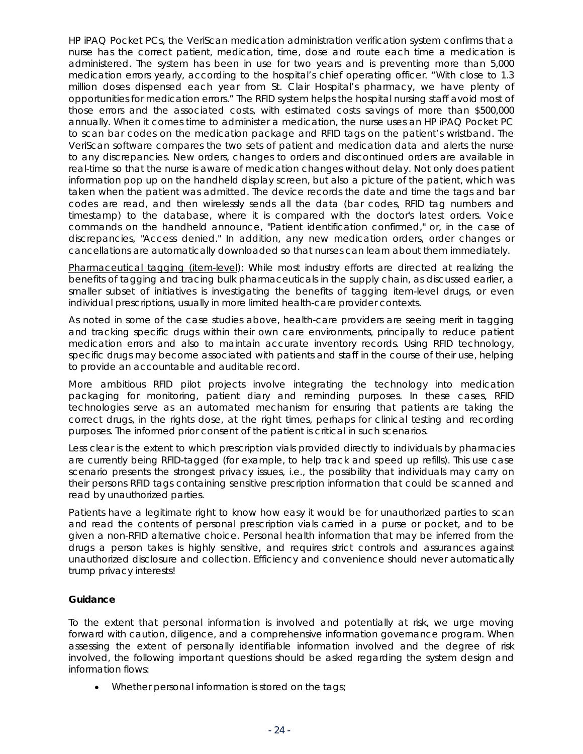<span id="page-25-0"></span>HP iPAQ Pocket PCs, the VeriScan medication administration verification system confirms that a nurse has the correct patient, medication, time, dose and route each time a medication is administered. The system has been in use for two years and is preventing more than 5,000 medication errors yearly, according to the hospital's chief operating officer. "With close to 1.3 million doses dispensed each year from St. Clair Hospital's pharmacy, we have plenty of opportunities for medication errors." The RFID system helps the hospital nursing staff avoid most of those errors and the associated costs, with estimated costs savings of more than \$500,000 annually. When it comes time to administer a medication, the nurse uses an HP iPAQ Pocket PC to scan bar codes on the medication package and RFID tags on the patient's wristband. The VeriScan software compares the two sets of patient and medication data and alerts the nurse to any discrepancies. New orders, changes to orders and discontinued orders are available in real-time so that the nurse is aware of medication changes without delay. Not only does patient information pop up on the handheld display screen, but also a picture of the patient, which was taken when the patient was admitted. The device records the date and time the tags and bar codes are read, and then wirelessly sends all the data (bar codes, RFID tag numbers and timestamp) to the database, where it is compared with the doctor's latest orders. Voice commands on the handheld announce, "Patient identification confirmed," or, in the case of discrepancies, "Access denied." In addition, any new medication orders, order changes or cancellations are automatically downloaded so that nurses can learn about them immediately.

Pharmaceutical tagging (item-level): While most industry efforts are directed at realizing the benefits of tagging and tracing bulk pharmaceuticals in the supply chain, as discussed earlier, a smaller subset of initiatives is investigating the benefits of tagging item-level drugs, or even individual prescriptions, usually in more limited health-care provider contexts.

As noted in some of the case studies above, health-care providers are seeing merit in tagging and tracking specific drugs within their own care environments, principally to reduce patient medication errors and also to maintain accurate inventory records. Using RFID technology, specific drugs may become associated with patients and staff in the course of their use, helping to provide an accountable and auditable record.

More ambitious RFID pilot projects involve integrating the technology into medication packaging for monitoring, patient diary and reminding purposes. In these cases, RFID technologies serve as an automated mechanism for ensuring that patients are taking the correct drugs, in the rights dose, at the right times, perhaps for clinical testing and recording purposes. The informed prior consent of the patient is critical in such scenarios.

Less clear is the extent to which prescription vials provided directly to individuals by pharmacies are currently being RFID-tagged (for example, to help track and speed up refills). This use case scenario presents the strongest privacy issues, i.e., the possibility that individuals may carry on their persons RFID tags containing sensitive prescription information that could be scanned and read by unauthorized parties.

Patients have a legitimate right to know how easy it would be for unauthorized parties to scan and read the contents of personal prescription vials carried in a purse or pocket, and to be given a non-RFID alternative choice. Personal health information that may be inferred from the drugs a person takes is highly sensitive, and requires strict controls and assurances against unauthorized disclosure and collection. Efficiency and convenience should never automatically trump privacy interests!

### **Guidance**

To the extent that personal information is involved and potentially at risk, we urge moving forward with caution, diligence, and a comprehensive information governance program. When assessing the extent of personally identifiable information involved and the degree of risk involved, the following important questions should be asked regarding the system design and information flows:

• Whether personal information is stored on the tags;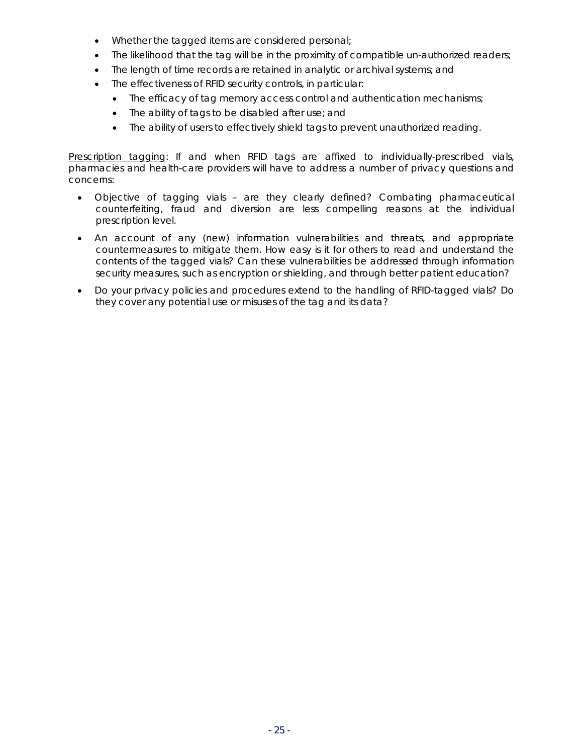- Whether the tagged items are considered personal;
- The likelihood that the tag will be in the proximity of compatible un-authorized readers;
- The length of time records are retained in analytic or archival systems; and
- The effectiveness of RFID security controls, in particular:
	- The efficacy of tag memory access control and authentication mechanisms;
	- The ability of tags to be disabled after use; and
	- The ability of users to effectively shield tags to prevent unauthorized reading.

Prescription tagging: If and when RFID tags are affixed to individually-prescribed vials, pharmacies and health-care providers will have to address a number of privacy questions and concerns:

- Objective of tagging vials are they clearly defined? Combating pharmaceutical counterfeiting, fraud and diversion are less compelling reasons at the individual prescription level.
- An account of any (new) information vulnerabilities and threats, and appropriate countermeasures to mitigate them. How easy is it for others to read and understand the contents of the tagged vials? Can these vulnerabilities be addressed through information security measures, such as encryption or shielding, and through better patient education?
- Do your privacy policies and procedures extend to the handling of RFID-tagged vials? Do they cover any potential use or misuses of the tag and its data?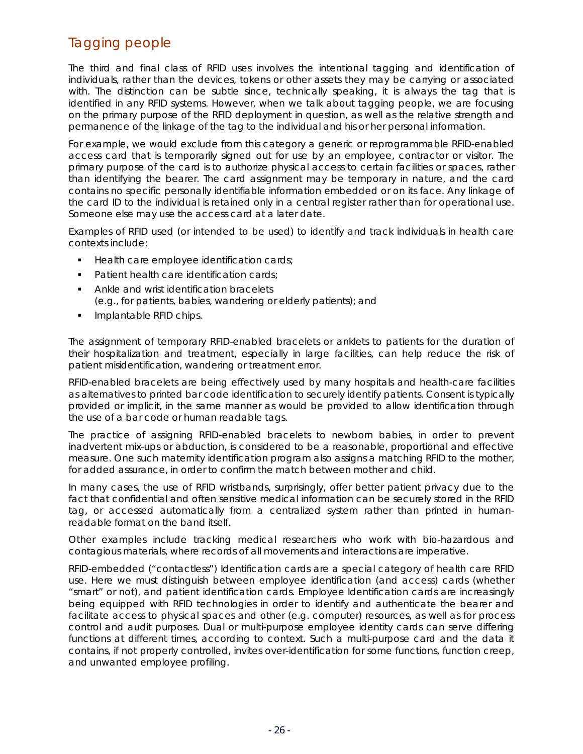### <span id="page-27-0"></span>Tagging *people*

The third and final class of RFID uses involves the intentional tagging and identification of individuals, rather than the devices, tokens or other assets they may be carrying or associated with. The distinction can be subtle since, technically speaking, it is always the tag that is identified in any RFID systems. However, when we talk about tagging people, we are focusing on the primary purpose of the RFID deployment in question, as well as the relative strength and permanence of the linkage of the tag to the individual and his or her personal information.

For example, we would *exclude* from this category a generic or reprogrammable RFID-enabled access card that is temporarily signed out for use by an employee, contractor or visitor. The primary purpose of the card is to authorize physical access to certain facilities or spaces, rather than identifying the bearer. The card assignment may be temporary in nature, and the card contains no specific personally identifiable information embedded or on its face. Any linkage of the card ID to the individual is retained only in a central register rather than for operational use. Someone else may use the access card at a later date.

Examples of RFID used (or intended to be used) to identify and track individuals in health care contexts include:

- Health care employee identification cards;
- Patient health care identification cards;
- Ankle and wrist identification bracelets (e.g., for patients, babies, wandering or elderly patients); and
- Implantable RFID chips.

The assignment of temporary RFID-enabled bracelets or anklets to patients for the duration of their hospitalization and treatment, especially in large facilities, can help reduce the risk of patient misidentification, wandering or treatment error.

RFID-enabled bracelets are being effectively used by many hospitals and health-care facilities as alternatives to printed bar code identification to securely identify patients. Consent is typically provided or implicit, in the same manner as would be provided to allow identification through the use of a bar code or human readable tags.

The practice of assigning RFID-enabled bracelets to newborn babies, in order to prevent inadvertent mix-ups or abduction, is considered to be a reasonable, proportional and effective measure. One such maternity identification program also assigns a matching RFID to the mother, for added assurance, in order to confirm the match between mother and child.

In many cases, the use of RFID wristbands, surprisingly, offer better patient privacy due to the fact that confidential and often sensitive medical information can be securely stored in the RFID tag, or accessed automatically from a centralized system rather than printed in humanreadable format on the band itself.

Other examples include tracking medical researchers who work with bio-hazardous and contagious materials, where records of all movements and interactions are imperative.

RFID-embedded ("contactless") Identification cards are a special category of health care RFID use. Here we must distinguish between employee identification (and access) cards (whether "smart" or not), and patient identification cards. Employee Identification cards are increasingly being equipped with RFID technologies in order to identify and authenticate the bearer and facilitate access to physical spaces and other (e.g. computer) resources, as well as for process control and audit purposes. Dual or multi-purpose employee identity cards can serve differing functions at different times, according to context. Such a multi-purpose card and the data it contains, if not properly controlled, invites over-identification for some functions, function creep, and unwanted employee profiling.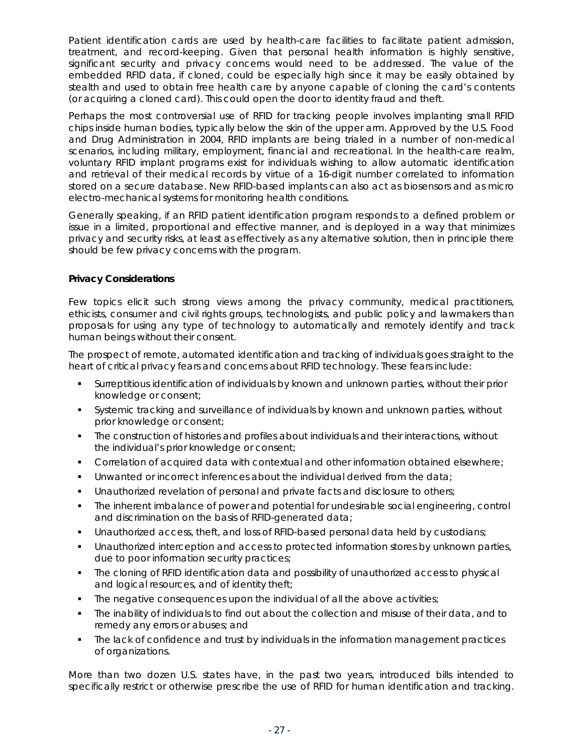<span id="page-28-0"></span>Patient identification cards are used by health-care facilities to facilitate patient admission, treatment, and record-keeping. Given that personal health information is highly sensitive, significant security and privacy concerns would need to be addressed. The value of the embedded RFID data, if cloned, could be especially high since it may be easily obtained by stealth and used to obtain free health care by anyone capable of cloning the card's contents (or acquiring a cloned card). This could open the door to identity fraud and theft.

Perhaps the most controversial use of RFID for tracking people involves implanting small RFID chips inside human bodies, typically below the skin of the upper arm. Approved by the U.S. Food and Drug Administration in 2004, RFID implants are being trialed in a number of non-medical scenarios, including military, employment, financial and recreational. In the health-care realm, voluntary RFID implant programs exist for individuals wishing to allow automatic identification and retrieval of their medical records by virtue of a 16-digit number correlated to information stored on a secure database. New RFID-based implants can also act as biosensors and as micro electro-mechanical systems for monitoring health conditions.

Generally speaking, if an RFID patient identification program responds to a defined problem or issue in a limited, proportional and effective manner, and is deployed in a way that minimizes privacy and security risks, at least as effectively as any alternative solution, then in principle there should be few privacy concerns with the program.

#### **Privacy Considerations**

Few topics elicit such strong views among the privacy community, medical practitioners, ethicists, consumer and civil rights groups, technologists, and public policy and lawmakers than proposals for using any type of technology to automatically and remotely identify and track human beings without their consent.

The prospect of remote, automated identification and tracking of individuals goes straight to the heart of critical privacy fears and concerns about RFID technology. These fears include:

- Surreptitious identification of individuals by known and unknown parties, without their prior knowledge or consent;
- Systemic tracking and surveillance of individuals by known and unknown parties, without prior knowledge or consent;
- The construction of histories and profiles about individuals and their interactions, without the individual's prior knowledge or consent;
- Correlation of acquired data with contextual and other information obtained elsewhere;
- **Unwanted or incorrect inferences about the individual derived from the data;**
- Unauthorized revelation of personal and private facts and disclosure to others;
- The inherent imbalance of power and potential for undesirable social engineering, control and discrimination on the basis of RFID-generated data;
- Unauthorized access, theft, and loss of RFID-based personal data held by custodians;
- Unauthorized interception and access to protected information stores by unknown parties, due to poor information security practices;
- The cloning of RFID identification data and possibility of unauthorized access to physical and logical resources, and of identity theft;
- **The negative consequences upon the individual of all the above activities;**
- The inability of individuals to find out about the collection and misuse of their data, and to remedy any errors or abuses; and
- The lack of confidence and trust by individuals in the information management practices of organizations.

More than two dozen U.S. states have, in the past two years, introduced bills intended to specifically restrict or otherwise prescribe the use of RFID for human identification and tracking.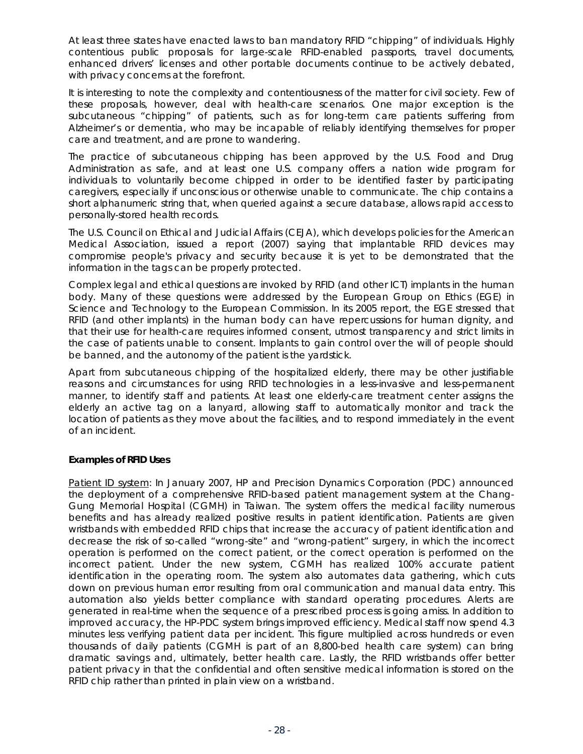<span id="page-29-0"></span>At least three states have enacted laws to ban mandatory RFID "chipping" of individuals. Highly contentious public proposals for large-scale RFID-enabled passports, travel documents, enhanced drivers' licenses and other portable documents continue to be actively debated, with privacy concerns at the forefront.

It is interesting to note the complexity and contentiousness of the matter for civil society. Few of these proposals, however, deal with health-care scenarios. One major exception is the subcutaneous "chipping" of patients, such as for long-term care patients suffering from Alzheimer's or dementia, who may be incapable of reliably identifying themselves for proper care and treatment, and are prone to wandering.

The practice of subcutaneous chipping has been approved by the U.S. Food and Drug Administration as safe, and at least one U.S. company offers a nation wide program for individuals to voluntarily become chipped in order to be identified faster by participating caregivers, especially if unconscious or otherwise unable to communicate. The chip contains a short alphanumeric string that, when queried against a secure database, allows rapid access to personally-stored health records.

The U.S. Council on Ethical and Judicial Affairs (CEJA), which develops policies for the American Medical Association, issued a report (2007) saying that implantable RFID devices may compromise people's privacy and security because it is yet to be demonstrated that the information in the tags can be properly protected.

Complex legal and ethical questions are invoked by RFID (and other ICT) implants in the human body. Many of these questions were addressed by the European Group on Ethics (EGE) in Science and Technology to the European Commission. In its 2005 report, the EGE stressed that RFID (and other implants) in the human body can have repercussions for human dignity, and that their use for health-care requires informed consent, utmost transparency and strict limits in the case of patients unable to consent. Implants to gain control over the will of people should be banned, and the autonomy of the patient is the yardstick.

Apart from subcutaneous chipping of the hospitalized elderly, there may be other justifiable reasons and circumstances for using RFID technologies in a less-invasive and less-permanent manner, to identify staff and patients. At least one elderly-care treatment center assigns the elderly an active tag on a lanyard, allowing staff to automatically monitor and track the location of patients as they move about the facilities, and to respond immediately in the event of an incident.

#### **Examples of RFID Uses**

Patient ID system: In January 2007, HP and Precision Dynamics Corporation (PDC) announced the deployment of a comprehensive RFID-based patient management system at the Chang-Gung Memorial Hospital (CGMH) in Taiwan. The system offers the medical facility numerous benefits and has already realized positive results in patient identification. Patients are given wristbands with embedded RFID chips that increase the accuracy of patient identification and decrease the risk of so-called "wrong-site" and "wrong-patient" surgery, in which the incorrect operation is performed on the correct patient, or the correct operation is performed on the incorrect patient. Under the new system, CGMH has realized 100% accurate patient identification in the operating room. The system also automates data gathering, which cuts down on previous human error resulting from oral communication and manual data entry. This automation also yields better compliance with standard operating procedures. Alerts are generated in real-time when the sequence of a prescribed process is going amiss. In addition to improved accuracy, the HP-PDC system brings improved efficiency. Medical staff now spend 4.3 minutes less verifying patient data per incident. This figure multiplied across hundreds or even thousands of daily patients (CGMH is part of an 8,800-bed health care system) can bring dramatic savings and, ultimately, better health care. Lastly, the RFID wristbands offer better patient privacy in that the confidential and often sensitive medical information is stored on the RFID chip rather than printed in plain view on a wristband.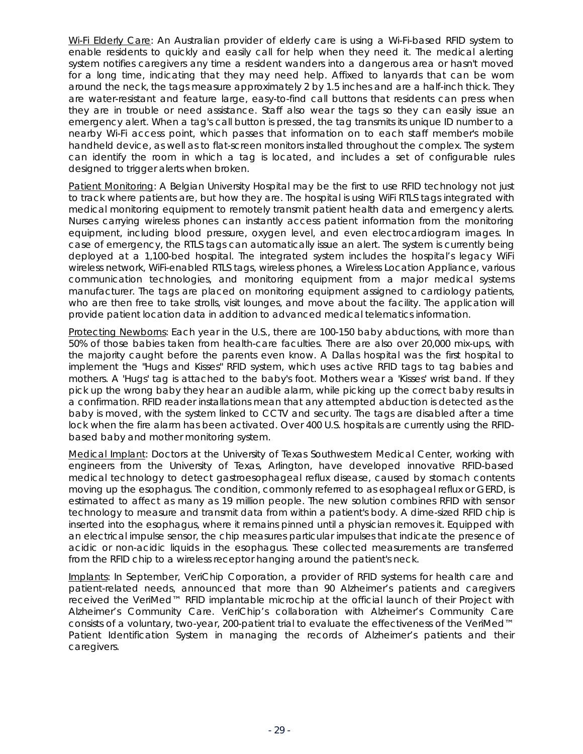Wi-Fi Elderly Care: An Australian provider of elderly care is using a Wi-Fi-based RFID system to enable residents to quickly and easily call for help when they need it. The medical alerting system notifies caregivers any time a resident wanders into a dangerous area or hasn't moved for a long time, indicating that they may need help. Affixed to lanyards that can be worn around the neck, the tags measure approximately 2 by 1.5 inches and are a half-inch thick. They are water-resistant and feature large, easy-to-find call buttons that residents can press when they are in trouble or need assistance. Staff also wear the tags so they can easily issue an emergency alert. When a tag's call button is pressed, the tag transmits its unique ID number to a nearby Wi-Fi access point, which passes that information on to each staff member's mobile handheld device, as well as to flat-screen monitors installed throughout the complex. The system can identify the room in which a tag is located, and includes a set of configurable rules designed to trigger alerts when broken.

Patient Monitoring: A Belgian University Hospital may be the first to use RFID technology not just to track where patients are, but *how* they are. The hospital is using WiFi RTLS tags integrated with medical monitoring equipment to remotely transmit patient health data and emergency alerts. Nurses carrying wireless phones can instantly access patient information from the monitoring equipment, including blood pressure, oxygen level, and even electrocardiogram images. In case of emergency, the RTLS tags can automatically issue an alert. The system is currently being deployed at a 1,100-bed hospital. The integrated system includes the hospital's legacy WiFi wireless network, WiFi-enabled RTLS tags, wireless phones, a Wireless Location Appliance, various communication technologies, and monitoring equipment from a major medical systems manufacturer. The tags are placed on monitoring equipment assigned to cardiology patients, who are then free to take strolls, visit lounges, and move about the facility. The application will provide patient location data in addition to advanced medical telematics information.

Protecting Newborns: Each year in the U.S., there are 100-150 baby abductions, with more than 50% of those babies taken from health-care faculties. There are also over 20,000 mix-ups, with the majority caught before the parents even know. A Dallas hospital was the first hospital to implement the "Hugs and Kisses" RFID system, which uses active RFID tags to tag babies and mothers. A 'Hugs' tag is attached to the baby's foot. Mothers wear a 'Kisses' wrist band. If they pick up the wrong baby they hear an audible alarm, while picking up the correct baby results in a confirmation. RFID reader installations mean that any attempted abduction is detected as the baby is moved, with the system linked to CCTV and security. The tags are disabled after a time lock when the fire alarm has been activated. Over 400 U.S. hospitals are currently using the RFIDbased baby and mother monitoring system.

Medical Implant: Doctors at the University of Texas Southwestern Medical Center, working with engineers from the University of Texas, Arlington, have developed innovative RFID-based medical technology to detect gastroesophageal reflux disease, caused by stomach contents moving up the esophagus. The condition, commonly referred to as esophageal reflux or GERD, is estimated to affect as many as 19 million people. The new solution combines RFID with sensor technology to measure and transmit data from within a patient's body. A dime-sized RFID chip is inserted into the esophagus, where it remains pinned until a physician removes it. Equipped with an electrical impulse sensor, the chip measures particular impulses that indicate the presence of acidic or non-acidic liquids in the esophagus. These collected measurements are transferred from the RFID chip to a wireless receptor hanging around the patient's neck.

Implants: In September, VeriChip Corporation, a provider of RFID systems for health care and patient-related needs, announced that more than 90 Alzheimer's patients and caregivers received the VeriMed™ RFID implantable microchip at the official launch of their Project with Alzheimer's Community Care. VeriChip's collaboration with Alzheimer's Community Care consists of a voluntary, two-year, 200-patient trial to evaluate the effectiveness of the VeriMed™ Patient Identification System in managing the records of Alzheimer's patients and their caregivers.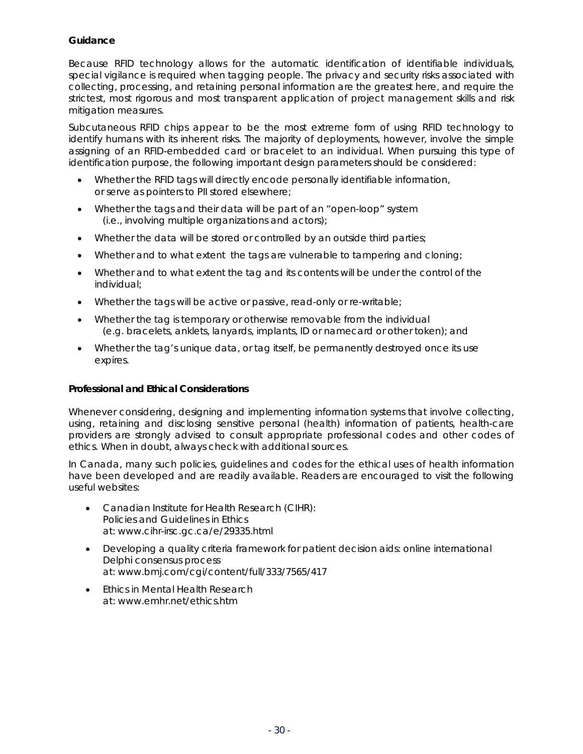#### <span id="page-31-0"></span>**Guidance**

Because RFID technology allows for the automatic identification of identifiable individuals, special vigilance is required when tagging people. The privacy and security risks associated with collecting, processing, and retaining personal information are the greatest here, and require the strictest, most rigorous and most transparent application of project management skills and risk mitigation measures.

Subcutaneous RFID chips appear to be the most extreme form of using RFID technology to identify humans with its inherent risks. The majority of deployments, however, involve the simple assigning of an RFID-embedded card or bracelet to an individual. When pursuing this type of identification purpose, the following important design parameters should be considered:

- Whether the RFID tags will directly encode personally identifiable information, or serve as pointers to PII stored elsewhere;
- Whether the tags and their data will be part of an "open-loop" system (i.e., involving multiple organizations and actors);
- Whether the data will be stored or controlled by an outside third parties;
- Whether and to what extent the tags are vulnerable to tampering and cloning;
- Whether and to what extent the tag and its contents will be under the control of the individual;
- Whether the tags will be active or passive, read-only or re-writable;
- Whether the tag is temporary or otherwise removable from the individual (e.g. bracelets, anklets, lanyards, implants, ID or namecard or other token); and
- Whether the tag's unique data, or tag itself, be permanently destroyed once its use expires.

#### **Professional and Ethical Considerations**

Whenever considering, designing and implementing information systems that involve collecting, using, retaining and disclosing sensitive personal (health) information of patients, health-care providers are strongly advised to consult appropriate professional codes and other codes of ethics. When in doubt, always check with additional sources.

In Canada, many such policies, guidelines and codes for the ethical uses of health information have been developed and are readily available. Readers are encouraged to visit the following useful websites:

- Canadian Institute for Health Research (CIHR): Policies and Guidelines in Ethics at: www.cihr-irsc.gc.ca/e/29335.html
- Developing a quality criteria framework for patient decision aids: online international Delphi consensus process at: www.bmj.com/cgi/content/full/333/7565/417
- Ethics in Mental Health Research at: www.emhr.net/ethics.htm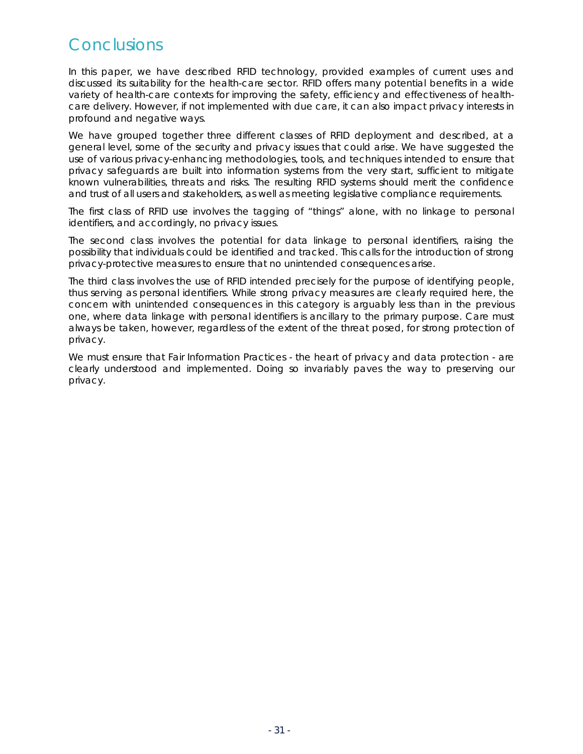## **Conclusions**

In this paper, we have described RFID technology, provided examples of current uses and discussed its suitability for the health-care sector. RFID offers many potential benefits in a wide variety of health-care contexts for improving the safety, efficiency and effectiveness of healthcare delivery. However, if not implemented with due care, it can also impact privacy interests in profound and negative ways.

We have grouped together three different classes of RFID deployment and described, at a general level, some of the security and privacy issues that could arise. We have suggested the use of various privacy-enhancing methodologies, tools, and techniques intended to ensure that privacy safeguards are built into information systems from the very start, sufficient to mitigate known vulnerabilities, threats and risks. The resulting RFID systems should merit the confidence and trust of all users and stakeholders, as well as meeting legislative compliance requirements.

The first class of RFID use involves the tagging of "things" alone, with no linkage to personal identifiers, and accordingly, no privacy issues.

The second class involves the *potential* for data linkage to personal identifiers, raising the possibility that individuals could be identified and tracked. This calls for the introduction of strong privacy-protective measures to ensure that no unintended consequences arise.

The third class involves the use of RFID intended precisely for the purpose of identifying people, thus serving as personal identifiers. While strong privacy measures are clearly required here, the concern with unintended consequences in this category is arguably less than in the previous one, where data linkage with personal identifiers is ancillary to the primary purpose. Care must always be taken, however, regardless of the extent of the threat posed, for strong protection of privacy.

We must ensure that Fair Information Practices - the heart of privacy and data protection - are clearly understood and implemented. Doing so invariably paves the way to preserving our privacy.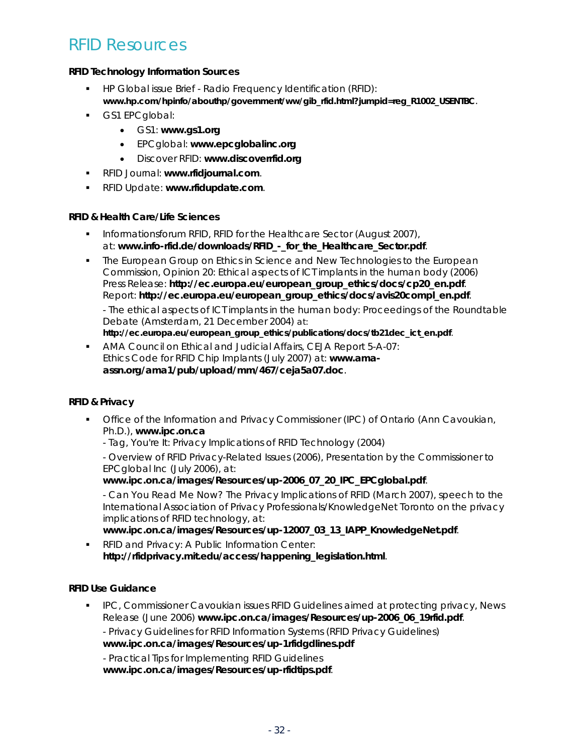### RFID Resources

#### **RFID Technology Information Sources**

- **HP Global issue Brief Radio Frequency Identification (RFID): www.hp.com/hpinfo/abouthp/government/ww/gib\_rfid.html?jumpid=reg\_R1002\_USENTBC**.
- **GS1 EPCglobal:** 
	- GS1: **www.gs1.org**
	- EPCglobal: **www.epcglobalinc.org**
	- Discover RFID: **www.discoverrfid.org**
- RFID Journal: **www.rfidjournal.com**.
- RFID Update: **www.rfidupdate.com**.

#### **RFID & Health Care/Life Sciences**

- Informationsforum RFID, *RFID for the Healthcare Sector* (August 2007), at: www.info-rfid.de/downloads/RFID - for the Healthcare Sector.pdf.
- **The European Group on Ethics in Science and New Technologies to the European** Commission, *Opinion 20: Ethical aspects of ICT implants in the human body* (2006) Press Release: **http://ec.europa.eu/european\_group\_ethics/docs/cp20\_en.pdf**. Report: **http://ec.europa.eu/european\_group\_ethics/docs/avis20compl\_en.pdf**.

- *The ethical aspects of ICT implants in the human body: Proceedings of the Roundtable Debate* (Amsterdam, 21 December 2004) at:

**http://ec.europa.eu/european\_group\_ethics/publications/docs/tb21dec\_ict\_en.pdf**.

 AMA Council on Ethical and Judicial Affairs, CEJA Report 5-A-07: *Ethics Code for RFID Chip Implants* (July 2007) at: **www.amaassn.org/ama1/pub/upload/mm/467/ceja5a07.doc**.

### **RFID & Privacy**

- Office of the Information and Privacy Commissioner (IPC) of Ontario (Ann Cavoukian, Ph.D.), **www.ipc.on.ca**
	- *Tag, You're It: Privacy Implications of RFID Technology (2004)*

- Overview of RFID Privacy-Related Issues (2006), Presentation by the Commissioner to EPCglobal Inc (July 2006), at:

**www.ipc.on.ca/images/Resources/up-2006\_07\_20\_IPC\_EPCglobal.pdf**.

- Can You Read Me Now? The Privacy Implications of RFID (March 2007), speech to the International Association of Privacy Professionals/KnowledgeNet Toronto on the privacy implications of RFID technology, at:

**www.ipc.on.ca/images/Resources/up-12007\_03\_13\_IAPP\_KnowledgeNet.pdf**.

**RFID and Privacy: A Public Information Center: http://rfidprivacy.mit.edu/access/happening\_legislation.html**.

### **RFID Use Guidance**

 IPC, *Commissioner Cavoukian issues RFID Guidelines aimed at protecting privacy*, News Release (June 2006) **www.ipc.on.ca/images/Resources/up-2006\_06\_19rfid.pdf**.

- Privacy Guidelines for RFID Information Systems (RFID Privacy Guidelines)

**www.ipc.on.ca/images/Resources/up-1rfidgdlines.pdf**

- Practical Tips for Implementing RFID Guidelines

**www.ipc.on.ca/images/Resources/up-rfidtips.pdf**.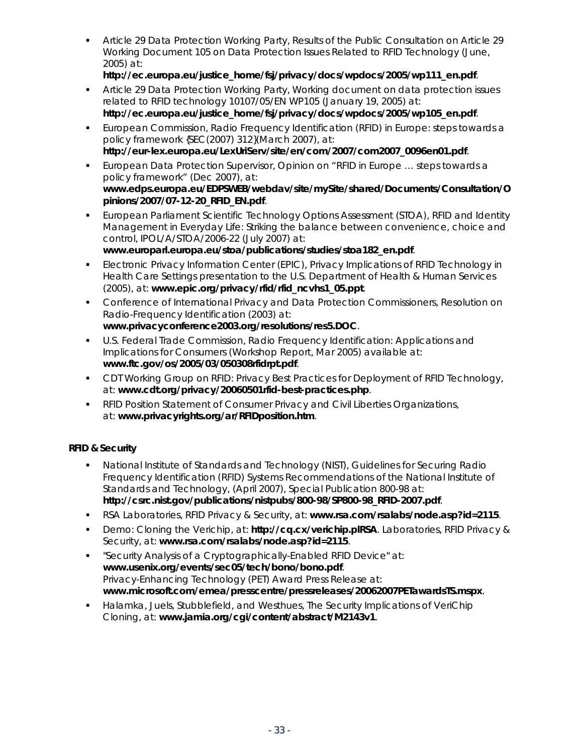Article 29 Data Protection Working Party, *Results of the Public Consultation on Article 29 Working Document 105 on Data Protection Issues Related to RFID Technology* (June, 2005) at:

### **http://ec.europa.eu/justice\_home/fsj/privacy/docs/wpdocs/2005/wp111\_en.pdf**.

- Article 29 Data Protection Working Party, *Working document on data protection issues related to RFID technology* 10107/05/EN WP105 (January 19, 2005) at: **http://ec.europa.eu/justice\_home/fsj/privacy/docs/wpdocs/2005/wp105\_en.pdf**.
- European Commission, *Radio Frequency Identification (RFID) in Europe: steps towards a policy framework* {SEC(2007) 312}(March 2007), at: **http://eur-lex.europa.eu/LexUriServ/site/en/com/2007/com2007\_0096en01.pdf**.
- European Data Protection Supervisor, Opinion on "RFID in Europe … steps towards a policy framework" (Dec 2007), at: **www.edps.europa.eu/EDPSWEB/webdav/site/mySite/shared/Documents/Consultation/O pinions/2007/07-12-20\_RFID\_EN.pdf**.
- European Parliament Scientific Technology Options Assessment (STOA), *RFID and Identity Management in Everyday Life: Striking the balance between convenience, choice and control*, IPOL/A/STOA/2006-22 (July 2007) at: **www.europarl.europa.eu/stoa/publications/studies/stoa182\_en.pdf**.
- Electronic Privacy Information Center (EPIC), *Privacy Implications of RFID Technology in Health Care Settings* presentation to the U.S. Department of Health & Human Services (2005), at: **www.epic.org/privacy/rfid/rfid\_ncvhs1\_05.ppt**.
- Conference of International Privacy and Data Protection Commissioners, *Resolution on Radio-Frequency Identification* (2003) at: **www.privacyconference2003.org/resolutions/res5.DOC**.
- U.S. Federal Trade Commission, *Radio Frequency Identification: Applications and Implications for Consumers* (Workshop Report, Mar 2005) available at: **www.ftc.gov/os/2005/03/050308rfidrpt.pdf**.
- CDT Working Group on *RFID: Privacy Best Practices for Deployment of RFID Technology*, at: **www.cdt.org/privacy/20060501rfid-best-practices.php**.
- RFID Position Statement of Consumer Privacy and Civil Liberties Organizations, at: **www.privacyrights.org/ar/RFIDposition.htm**.

### **RFID & Security**

- National Institute of Standards and Technology (NIST), *Guidelines for Securing Radio Frequency Identification (RFID) Systems Recommendations of the National Institute of Standards and Technology*, (April 2007), Special Publication 800-98 at: **http://csrc.nist.gov/publications/nistpubs/800-98/SP800-98\_RFID-2007.pdf**.
- RSA Laboratories, RFID Privacy & Security, at: **www.rsa.com/rsalabs/node.asp?id=2115**.
- Demo: Cloning the Verichip, at: **http://cq.cx/verichip.plRSA**. Laboratories, RFID Privacy & Security, at: **www.rsa.com/rsalabs/node.asp?id=2115**.
- "Security Analysis of a Cryptographically-Enabled RFID Device" at: **www.usenix.org/events/sec05/tech/bono/bono.pdf**. Privacy-Enhancing Technology (PET) Award Press Release at: **www.microsoft.com/emea/presscentre/pressreleases/20062007PETawardsTS.mspx**.
- Halamka, Juels, Stubblefield, and Westhues, The Security Implications of VeriChip Cloning, at: **www.jamia.org/cgi/content/abstract/M2143v1**.